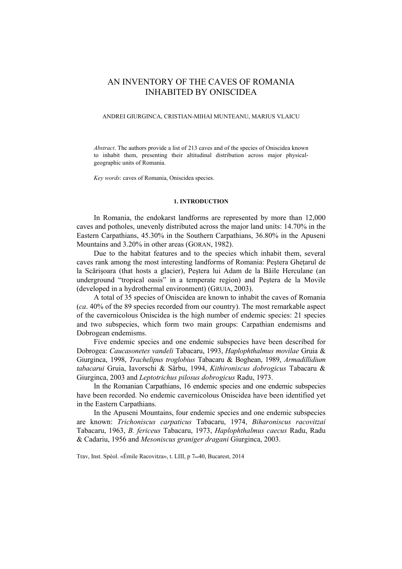# AN INVENTORY OF THE CAVES OF ROMANIA INHABITED BY ONISCIDEA

## ANDREI GIURGINCA, CRISTIAN-MIHAI MUNTEANU, MARIUS VLAICU

*Abstract*. The authors provide a list of 213 caves and of the species of Oniscidea known to inhabit them, presenting their altitudinal distribution across major physicalgeographic units of Romania.

*Key words*: caves of Romania, Oniscidea species.

#### **1. INTRODUCTION**

In Romania, the endokarst landforms are represented by more than 12,000 caves and potholes, unevenly distributed across the major land units: 14.70% in the Eastern Carpathians, 45.30% in the Southern Carpathians, 36.80% in the Apuseni Mountains and 3.20% in other areas (GORAN, 1982).

Due to the habitat features and to the species which inhabit them, several caves rank among the most interesting landforms of Romania: Peştera Gheţarul de la Scărişoara (that hosts a glacier), Peştera lui Adam de la Băile Herculane (an underground "tropical oasis" in a temperate region) and Peştera de la Movile (developed in a hydrothermal environment) (GRUIA, 2003).

A total of 35 species of Oniscidea are known to inhabit the caves of Romania (*ca*. 40% of the 89 species recorded from our country). The most remarkable aspect of the cavernicolous Oniscidea is the high number of endemic species: 21 species and two subspecies, which form two main groups: Carpathian endemisms and Dobrogean endemisms.

Five endemic species and one endemic subspecies have been described for Dobrogea: *Caucasonetes vandeli* Tabacaru, 1993, *Haplophthalmus movilae* Gruia & Giurginca, 1998, *Trachelipus troglobius* Tabacaru & Boghean, 1989, *Armadillidium tabacarui* Gruia, Iavorschi & Sârbu, 1994, *Kithironiscus dobrogicus* Tabacaru & Giurginca, 2003 and *Leptotrichus pilosus dobrogicus* Radu, 1973.

In the Romanian Carpathians, 16 endemic species and one endemic subspecies have been recorded. No endemic cavernicolous Oniscidea have been identified yet in the Eastern Carpathians.

In the Apuseni Mountains, four endemic species and one endemic subspecies are known: *Trichoniscus carpaticus* Tabacaru, 1974, *Biharoniscus racovitzai* Tabacaru, 1963, *B. fericeus* Tabacaru, 1973, *Haplophthalmus caecus* Radu, Radu & Cadariu, 1956 and *Mesoniscus graniger dragani* Giurginca, 2003.

Trav, Inst. Spéol. «Émile Racovitza», t. LIII, p 7–40, Bucarest, 2014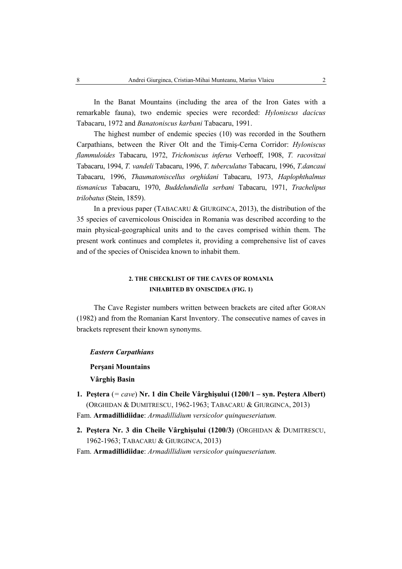In the Banat Mountains (including the area of the Iron Gates with a remarkable fauna), two endemic species were recorded: *Hyloniscus dacicus* Tabacaru, 1972 and *Banatoniscus karbani* Tabacaru, 1991.

The highest number of endemic species (10) was recorded in the Southern Carpathians, between the River Olt and the Timiş-Cerna Corridor: *Hyloniscus flammuloides* Tabacaru, 1972, *Trichoniscus inferus* Verhoeff, 1908, *T. racovitzai* Tabacaru, 1994, *T. vandeli* Tabacaru, 1996, *T. tuberculatus* Tabacaru, 1996, *T.dancaui*  Tabacaru, 1996, *Thaumatoniscellus orghidani* Tabacaru, 1973, *Haplophthalmus tismanicus* Tabacaru, 1970, *Buddelundiella serbani* Tabacaru, 1971, *Trachelipus trilobatus* (Stein, 1859).

In a previous paper (TABACARU & GIURGINCA, 2013), the distribution of the 35 species of cavernicolous Oniscidea in Romania was described according to the main physical-geographical units and to the caves comprised within them. The present work continues and completes it, providing a comprehensive list of caves and of the species of Oniscidea known to inhabit them.

## **2. THE CHECKLIST OF THE CAVES OF ROMANIA INHABITED BY ONISCIDEA (FIG. 1)**

The Cave Register numbers written between brackets are cited after GORAN (1982) and from the Romanian Karst Inventory. The consecutive names of caves in brackets represent their known synonyms.

## *Eastern Carpathians*

**Perşani Mountains**

**Vârghiş Basin** 

- **1. Peştera** (*= cave*) **Nr. 1 din Cheile Vârghişului (1200/1 syn. Peştera Albert)**  (ORGHIDAN & DUMITRESCU, 1962-1963; TABACARU & GIURGINCA, 2013) Fam. **Armadillidiidae**: *Armadillidium versicolor quinqueseriatum.*
- **2. Peştera Nr. 3 din Cheile Vârghişului (1200/3)** (ORGHIDAN & DUMITRESCU, 1962-1963; TABACARU & GIURGINCA, 2013)

Fam. **Armadillidiidae**: *Armadillidium versicolor quinqueseriatum.*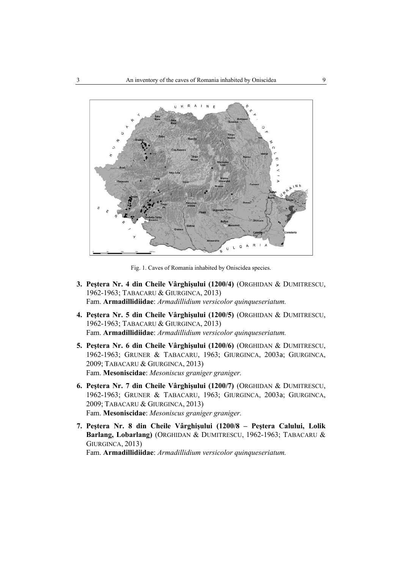

Fig. 1. Caves of Romania inhabited by Oniscidea species.

- **3. Peştera Nr. 4 din Cheile Vârghişului (1200/4)** (ORGHIDAN & DUMITRESCU, 1962-1963; TABACARU & GIURGINCA, 2013) Fam. **Armadillidiidae**: *Armadillidium versicolor quinqueseriatum.*
- **4. Peştera Nr. 5 din Cheile Vârghişului (1200/5)** (ORGHIDAN & DUMITRESCU, 1962-1963; TABACARU & GIURGINCA, 2013) Fam. **Armadillidiidae**: *Armadillidium versicolor quinqueseriatum.*
- **5. Peştera Nr. 6 din Cheile Vârghişului (1200/6)** (ORGHIDAN & DUMITRESCU, 1962-1963; GRUNER & TABACARU, 1963; GIURGINCA, 2003a; GIURGINCA, 2009; TABACARU & GIURGINCA, 2013) Fam. **Mesoniscidae**: *Mesoniscus graniger graniger.*
- **6. Peştera Nr. 7 din Cheile Vârghişului (1200/7)** (ORGHIDAN & DUMITRESCU, 1962-1963; GRUNER & TABACARU, 1963; GIURGINCA, 2003a; GIURGINCA, 2009; TABACARU & GIURGINCA, 2013) Fam. **Mesoniscidae**: *Mesoniscus graniger graniger.*
- **7. Peştera Nr. 8 din Cheile Vârghişului (1200/8 Peştera Calului, Lolik Barlang, Lobarlang)** (ORGHIDAN & DUMITRESCU, 1962-1963; TABACARU & GIURGINCA, 2013) Fam. **Armadillidiidae**: *Armadillidium versicolor quinqueseriatum.*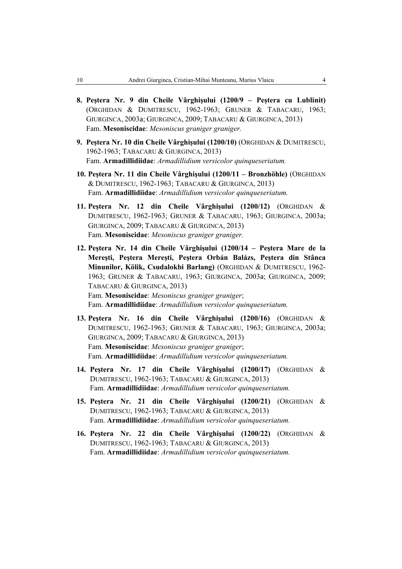- **8. Peştera Nr. 9 din Cheile Vârghişului (1200/9 Peştera cu Lublinit)**  (ORGHIDAN & DUMITRESCU, 1962-1963; GRUNER & TABACARU, 1963; GIURGINCA, 2003a; GIURGINCA, 2009; TABACARU & GIURGINCA, 2013) Fam. **Mesoniscidae**: *Mesoniscus graniger graniger.*
- **9. Peştera Nr. 10 din Cheile Vârghişului (1200/10)** (ORGHIDAN & DUMITRESCU, 1962-1963; TABACARU & GIURGINCA, 2013) Fam. **Armadillidiidae**: *Armadillidium versicolor quinqueseriatum.*
- **10. Peştera Nr. 11 din Cheile Vârghişului (1200/11 Bronzhöhle)** (ORGHIDAN & DUMITRESCU, 1962-1963; TABACARU & GIURGINCA, 2013) Fam. **Armadillidiidae**: *Armadillidium versicolor quinqueseriatum.*
- **11. Peştera Nr. 12 din Cheile Vârghişului (1200/12)** (ORGHIDAN & DUMITRESCU, 1962-1963; GRUNER & TABACARU, 1963; GIURGINCA, 2003a; GIURGINCA, 2009; TABACARU & GIURGINCA, 2013) Fam. **Mesoniscidae**: *Mesoniscus graniger graniger.*
- **12. Peştera Nr. 14 din Cheile Vârghişului (1200/14 Peştera Mare de la Mereşti, Peştera Mereşti, Peştera Orbán Balázs, Peştera din Stânca Minunilor, Kölik, Csudalokbi Barlang)** (ORGHIDAN & DUMITRESCU, 1962- 1963; GRUNER & TABACARU, 1963; GIURGINCA, 2003a; GIURGINCA, 2009; TABACARU & GIURGINCA, 2013) Fam. **Mesoniscidae**: *Mesoniscus graniger graniger*; Fam. **Armadillidiidae**: *Armadillidium versicolor quinqueseriatum.*
- **13. Peştera Nr. 16 din Cheile Vârghişului (1200/16)** (ORGHIDAN & DUMITRESCU, 1962-1963; GRUNER & TABACARU, 1963; GIURGINCA, 2003a; GIURGINCA, 2009; TABACARU & GIURGINCA, 2013) Fam. **Mesoniscidae**: *Mesoniscus graniger graniger*; Fam. **Armadillidiidae**: *Armadillidium versicolor quinqueseriatum.*
- **14. Peştera Nr. 17 din Cheile Vârghişului (1200/17)** (ORGHIDAN & DUMITRESCU, 1962-1963; TABACARU & GIURGINCA, 2013) Fam. **Armadillidiidae**: *Armadillidium versicolor quinqueseriatum.*
- **15. Peştera Nr. 21 din Cheile Vârghişului (1200/21)** (ORGHIDAN & DUMITRESCU, 1962-1963; TABACARU & GIURGINCA, 2013) Fam. **Armadillidiidae**: *Armadillidium versicolor quinqueseriatum.*
- **16. Peştera Nr. 22 din Cheile Vârghişului (1200/22)** (ORGHIDAN & DUMITRESCU, 1962-1963; TABACARU & GIURGINCA, 2013) Fam. **Armadillidiidae**: *Armadillidium versicolor quinqueseriatum.*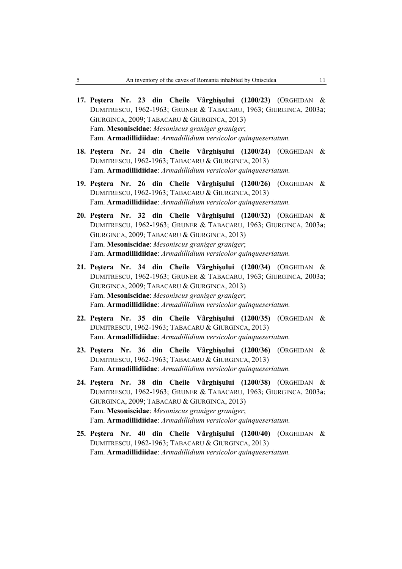- **17. Peştera Nr. 23 din Cheile Vârghişului (1200/23)** (ORGHIDAN & DUMITRESCU, 1962-1963; GRUNER & TABACARU, 1963; GIURGINCA, 2003a; GIURGINCA, 2009; TABACARU & GIURGINCA, 2013) Fam. **Mesoniscidae**: *Mesoniscus graniger graniger*; Fam. **Armadillidiidae**: *Armadillidium versicolor quinqueseriatum.*
- **18. Peştera Nr. 24 din Cheile Vârghişului (1200/24)** (ORGHIDAN & DUMITRESCU, 1962-1963; TABACARU & GIURGINCA, 2013) Fam. **Armadillidiidae**: *Armadillidium versicolor quinqueseriatum.*
- **19. Peştera Nr. 26 din Cheile Vârghişului (1200/26)** (ORGHIDAN & DUMITRESCU, 1962-1963; TABACARU & GIURGINCA, 2013) Fam. **Armadillidiidae**: *Armadillidium versicolor quinqueseriatum.*
- **20. Peştera Nr. 32 din Cheile Vârghişului (1200/32)** (ORGHIDAN & DUMITRESCU, 1962-1963; GRUNER & TABACARU, 1963; GIURGINCA, 2003a; GIURGINCA, 2009; TABACARU & GIURGINCA, 2013) Fam. **Mesoniscidae**: *Mesoniscus graniger graniger*; Fam. **Armadillidiidae**: *Armadillidium versicolor quinqueseriatum.*
- **21. Peştera Nr. 34 din Cheile Vârghişului (1200/34)** (ORGHIDAN & DUMITRESCU, 1962-1963; GRUNER & TABACARU, 1963; GIURGINCA, 2003a; GIURGINCA, 2009; TABACARU & GIURGINCA, 2013) Fam. **Mesoniscidae**: *Mesoniscus graniger graniger*; Fam. **Armadillidiidae**: *Armadillidium versicolor quinqueseriatum.*
- **22. Peştera Nr. 35 din Cheile Vârghişului (1200/35)** (ORGHIDAN & DUMITRESCU, 1962-1963; TABACARU & GIURGINCA, 2013) Fam. **Armadillidiidae**: *Armadillidium versicolor quinqueseriatum.*
- **23. Peştera Nr. 36 din Cheile Vârghişului (1200/36)** (ORGHIDAN & DUMITRESCU, 1962-1963; TABACARU & GIURGINCA, 2013) Fam. **Armadillidiidae**: *Armadillidium versicolor quinqueseriatum.*
- **24. Peştera Nr. 38 din Cheile Vârghişului (1200/38)** (ORGHIDAN & DUMITRESCU, 1962-1963; GRUNER & TABACARU, 1963; GIURGINCA, 2003a; GIURGINCA, 2009; TABACARU & GIURGINCA, 2013) Fam. **Mesoniscidae**: *Mesoniscus graniger graniger*; Fam. **Armadillidiidae**: *Armadillidium versicolor quinqueseriatum.*
- **25. Peştera Nr. 40 din Cheile Vârghişului (1200/40)** (ORGHIDAN & DUMITRESCU, 1962-1963; TABACARU & GIURGINCA, 2013) Fam. **Armadillidiidae**: *Armadillidium versicolor quinqueseriatum.*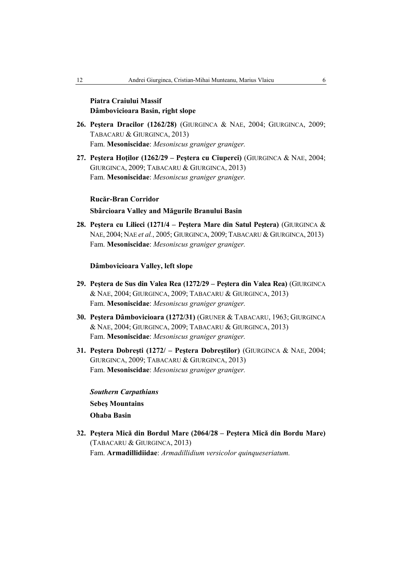## **Piatra Craiului Massif Dâmbovicioara Basin, right slope**

- **26. Peştera Dracilor (1262/28)** (GIURGINCA & NAE, 2004; GIURGINCA, 2009; TABACARU & GIURGINCA, 2013) Fam. **Mesoniscidae**: *Mesoniscus graniger graniger.*
- **27. Peştera Hoţilor (1262/29 Peştera cu Ciuperci)** (GIURGINCA & NAE, 2004; GIURGINCA, 2009; TABACARU & GIURGINCA, 2013) Fam. **Mesoniscidae**: *Mesoniscus graniger graniger.*

#### **Rucăr-Bran Corridor**

## **Sbârcioara Valley and Măgurile Branului Basin**

**28. Peştera cu Lilieci (1271/4 – Peştera Mare din Satul Peştera)** (GIURGINCA & NAE, 2004; NAE *et al.*, 2005; GIURGINCA, 2009; TABACARU & GIURGINCA, 2013) Fam. **Mesoniscidae**: *Mesoniscus graniger graniger.*

## **Dâmbovicioara Valley, left slope**

- **29. Peştera de Sus din Valea Rea (1272/29 Peştera din Valea Rea)** (GIURGINCA & NAE, 2004; GIURGINCA, 2009; TABACARU & GIURGINCA, 2013) Fam. **Mesoniscidae**: *Mesoniscus graniger graniger.*
- **30. Peştera Dâmbovicioara (1272/31)** (GRUNER & TABACARU, 1963; GIURGINCA & NAE, 2004; GIURGINCA, 2009; TABACARU & GIURGINCA, 2013) Fam. **Mesoniscidae**: *Mesoniscus graniger graniger.*
- **31. Peştera Dobreşti (1272/ Peştera Dobreştilor)** (GIURGINCA & NAE, 2004; GIURGINCA, 2009; TABACARU & GIURGINCA, 2013) Fam. **Mesoniscidae**: *Mesoniscus graniger graniger.*

*Southern Carpathians* **Sebeş Mountains Ohaba Basin** 

**32. Peştera Mică din Bordul Mare (2064/28 – Peştera Mică din Bordu Mare)**  (TABACARU & GIURGINCA, 2013) Fam. **Armadillidiidae**: *Armadillidium versicolor quinqueseriatum.*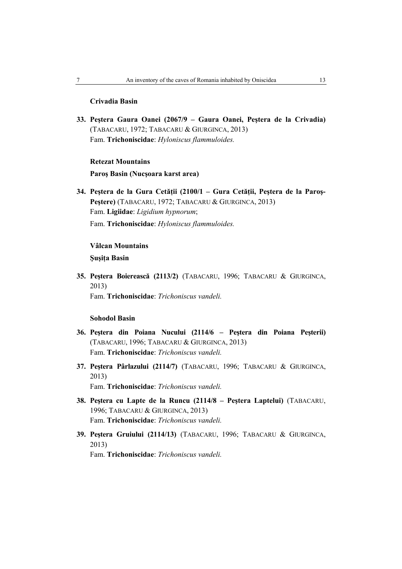## **Crivadia Basin**

**33. Peştera Gaura Oanei (2067/9 – Gaura Oanei, Peştera de la Crivadia)**  (TABACARU, 1972; TABACARU & GIURGINCA, 2013) Fam. **Trichoniscidae**: *Hyloniscus flammuloides.*

## **Retezat Mountains**

## **Paroş Basin (Nucşoara karst area)**

**34. Peştera de la Gura Cetăţii (2100/1 – Gura Cetăţii, Peştera de la Paroş-Peştere)** (TABACARU, 1972; TABACARU & GIURGINCA, 2013) Fam. **Ligiidae**: *Ligidium hypnorum*; Fam. **Trichoniscidae**: *Hyloniscus flammuloides.*

## **Vâlcan Mountains**

**Şuşiţa Basin** 

**35. Peştera Boierească (2113/2)** (TABACARU, 1996; TABACARU & GIURGINCA, 2013)

Fam. **Trichoniscidae**: *Trichoniscus vandeli.*

## **Sohodol Basin**

- **36. Peştera din Poiana Nucului (2114/6 Peştera din Poiana Peşterii)**  (TABACARU, 1996; TABACARU & GIURGINCA, 2013) Fam. **Trichoniscidae**: *Trichoniscus vandeli.*
- **37. Peştera Pârlazului (2114/7)** (TABACARU, 1996; TABACARU & GIURGINCA, 2013) Fam. **Trichoniscidae**: *Trichoniscus vandeli.*
- **38. Peştera cu Lapte de la Runcu (2114/8 Peştera Laptelui)** (TABACARU, 1996; TABACARU & GIURGINCA, 2013) Fam. **Trichoniscidae**: *Trichoniscus vandeli.*
- **39. Peştera Gruiului (2114/13)** (TABACARU, 1996; TABACARU & GIURGINCA, 2013) Fam. **Trichoniscidae**: *Trichoniscus vandeli.*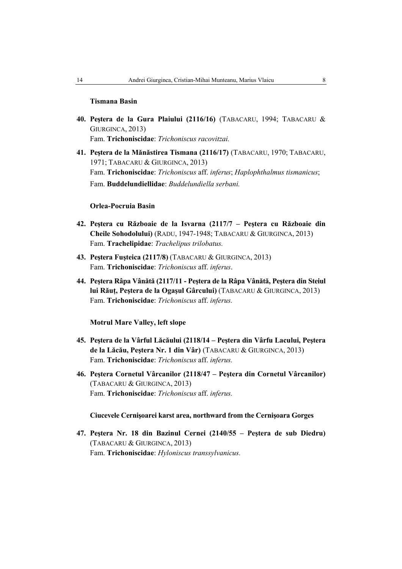## **Tismana Basin**

- **40. Peştera de la Gura Plaiului (2116/16)** (TABACARU, 1994; TABACARU & GIURGINCA, 2013) Fam. **Trichoniscidae**: *Trichoniscus racovitzai.*
- **41. Peştera de la Mănăstirea Tismana (2116/17)** (TABACARU, 1970; TABACARU, 1971; TABACARU & GIURGINCA, 2013) Fam. **Trichoniscidae**: *Trichoniscus* aff. *inferus*; *Haplophthalmus tismanicus*; Fam. **Buddelundiellidae**: *Buddelundiella serbani.*

## **Orlea-Pocruia Basin**

- **42. Peştera cu Războaie de la Isvarna (2117/7 Peştera cu Războaie din Cheile Sohodolului)** (RADU, 1947-1948; TABACARU & GIURGINCA, 2013) Fam. **Trachelipidae**: *Trachelipus trilobatus.*
- **43. Peştera Fuşteica (2117/8)** (TABACARU & GIURGINCA, 2013) Fam. **Trichoniscidae**: *Trichoniscus* aff. *inferus*.
- **44. Peştera Râpa Vânătă (2117/11 Peştera de la Râpa Vânătă, Peştera din Steiul lui Răuţ, Peştera de la Ogaşul Gârcului)** (TABACARU & GIURGINCA, 2013) Fam. **Trichoniscidae**: *Trichoniscus* aff. *inferus.*

**Motrul Mare Valley, left slope** 

- **45. Peştera de la Vârful Lăcăului (2118/14 Peştera din Vârfu Lacului, Peştera de la Lăcău, Peştera Nr. 1 din Vâr)** (TABACARU & GIURGINCA, 2013) Fam. **Trichoniscidae**: *Trichoniscus* aff. *inferus.*
- **46. Peştera Cornetul Vârcanilor (2118/47 Peştera din Cornetul Vârcanilor)**  (TABACARU & GIURGINCA, 2013) Fam. **Trichoniscidae**: *Trichoniscus* aff. *inferus.*

**Ciucevele Cernişoarei karst area, northward from the Cernişoara Gorges** 

**47. Peştera Nr. 18 din Bazinul Cernei (2140/55 – Peştera de sub Diedru)**  (TABACARU & GIURGINCA, 2013) Fam. **Trichoniscidae**: *Hyloniscus transsylvanicus.*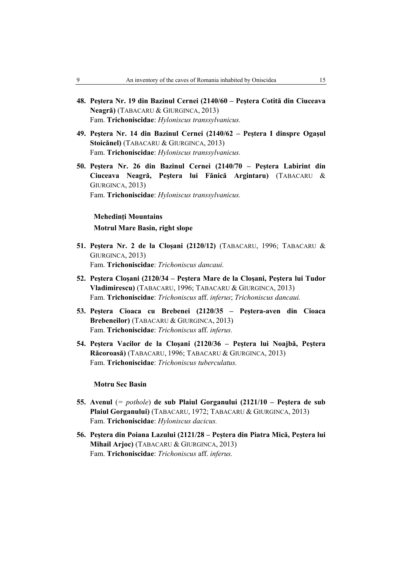- **48. Peştera Nr. 19 din Bazinul Cernei (2140/60 Peştera Cotită din Ciuceava Neagră)** (TABACARU & GIURGINCA, 2013) Fam. **Trichoniscidae**: *Hyloniscus transsylvanicus.*
- **49. Peştera Nr. 14 din Bazinul Cernei (2140/62 Peştera I dinspre Ogaşul Stoicănel)** (TABACARU & GIURGINCA, 2013) Fam. **Trichoniscidae**: *Hyloniscus transsylvanicus.*
- **50. Peştera Nr. 26 din Bazinul Cernei (2140/70 Peştera Labirint din Ciuceava Neagră, Peştera lui Fănică Argintaru)** (TABACARU & GIURGINCA, 2013) Fam. **Trichoniscidae**: *Hyloniscus transsylvanicus.*

### **Mehedinţi Mountains**

## **Motrul Mare Basin, right slope**

- **51. Peştera Nr. 2 de la Cloşani (2120/12)** (TABACARU, 1996; TABACARU & GIURGINCA, 2013) Fam. **Trichoniscidae**: *Trichoniscus dancaui.*
- **52. Peştera Cloşani (2120/34 Peştera Mare de la Cloşani, Peştera lui Tudor Vladimirescu)** (TABACARU, 1996; TABACARU & GIURGINCA, 2013) Fam. **Trichoniscidae**: *Trichoniscus* aff. *inferus*; *Trichoniscus dancaui.*
- **53. Peştera Cioaca cu Brebenei (2120/35 Peştera-aven din Cioaca Brebeneilor)** (TABACARU & GIURGINCA, 2013) Fam. **Trichoniscidae**: *Trichoniscus* aff. *inferus.*
- **54. Peştera Vacilor de la Cloşani (2120/36 Peştera lui Noajbă, Peştera Răcoroasă)** (TABACARU, 1996; TABACARU & GIURGINCA, 2013) Fam. **Trichoniscidae**: *Trichoniscus tuberculatus.*

#### **Motru Sec Basin**

- **55. Avenul** (*= pothole*) **de sub Plaiul Gorganului (2121/10 Peştera de sub Plaiul Gorganului)** (TABACARU, 1972; TABACARU & GIURGINCA, 2013) Fam. **Trichoniscidae**: *Hyloniscus dacicus.*
- **56. Peştera din Poiana Lazului (2121/28 Peştera din Piatra Mică, Peştera lui Mihail Arjoc)** (TABACARU & GIURGINCA, 2013) Fam. **Trichoniscidae**: *Trichoniscus* aff. *inferus.*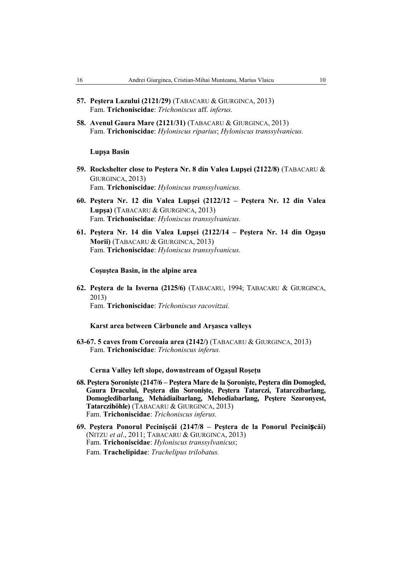- **57. Peştera Lazului (2121/29)** (TABACARU & GIURGINCA, 2013) Fam. **Trichoniscidae**: *Trichoniscus* aff. *inferus.*
- **58. Avenul Gaura Mare (2121/31)** (TABACARU & GIURGINCA, 2013) Fam. **Trichoniscidae**: *Hyloniscus riparius*; *Hyloniscus transsylvanicus.*

## **Lupşa Basin**

- **59. Rockshelter close to Peştera Nr. 8 din Valea Lupşei (2122/8)** (TABACARU & GIURGINCA, 2013) Fam. **Trichoniscidae**: *Hyloniscus transsylvanicus.*
- **60. Peştera Nr. 12 din Valea Lupşei (2122/12 Peştera Nr. 12 din Valea Lupşa)** (TABACARU & GIURGINCA, 2013) Fam. **Trichoniscidae**: *Hyloniscus transsylvanicus.*
- **61. Peştera Nr. 14 din Valea Lupşei (2122/14 Peştera Nr. 14 din Ogaşu Morii)** (TABACARU & GIURGINCA, 2013) Fam. **Trichoniscidae**: *Hyloniscus transsylvanicus.*

## **Coşuştea Basin, in the alpine area**

**62. Peştera de la Isverna (2125/6)** (TABACARU, 1994; TABACARU & GIURGINCA, 2013) Fam. **Trichoniscidae**: *Trichoniscus racovitzai.*

#### **Karst area between Cărbunele and Arşasca valleys**

**63-67. 5 caves from Corcoaia area (2142/)** (TABACARU & GIURGINCA, 2013) Fam. **Trichoniscidae**: *Trichoniscus inferus.*

## **Cerna Valley left slope, downstream of Ogaşul Roşeţu**

- **68. Peştera Şoronişte (2147/6 Peştera Mare de la Şoronişte, Peştera din Domogled, Gaura Dracului, Peştera din Soronişte, Peştera Tatarczi, Tatarczibarlang, Domogledibarlang, Mehádiaibarlang, Mehodiabarlang, Peştere Szoronyest, Tatarczihöhle)** (TABACARU & GIURGINCA, 2013) Fam. **Trichoniscidae**: *Trichoniscus inferus.*
- **69. Peştera Ponorul Pecinişcăi (2147/8 Peştera de la Ponorul Pecinișcăi)**  (NITZU *et al*., 2011; TABACARU & GIURGINCA, 2013) Fam. **Trichoniscidae**: *Hyloniscus transsylvanicus*; Fam. **Trachelipidae**: *Trachelipus trilobatus.*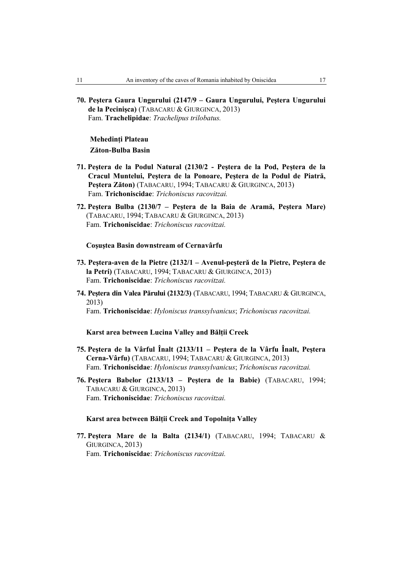**70. Peştera Gaura Ungurului (2147/9 – Gaura Ungurului, Peştera Ungurului de la Pecinişca)** (TABACARU & GIURGINCA, 2013) Fam. **Trachelipidae**: *Trachelipus trilobatus.*

**Mehedinţi Plateau Zăton-Bulba Basin** 

- **71. Peştera de la Podul Natural (2130/2 Peştera de la Pod, Peştera de la Cracul Muntelui, Peştera de la Ponoare, Peştera de la Podul de Piatră, Peştera Zăton)** (TABACARU, 1994; TABACARU & GIURGINCA, 2013) Fam. **Trichoniscidae**: *Trichoniscus racovitzai.*
- **72. Peştera Bulba (2130/7 Peştera de la Baia de Aramă, Peştera Mare)**  (TABACARU, 1994; TABACARU & GIURGINCA, 2013) Fam. **Trichoniscidae**: *Trichoniscus racovitzai.*

#### **Coşuştea Basin downstream of Cernavârfu**

- **73. Peştera-aven de la Pietre (2132/1 Avenul-peşteră de la Pietre, Peştera de la Petri)** (TABACARU, 1994; TABACARU & GIURGINCA, 2013) Fam. **Trichoniscidae**: *Trichoniscus racovitzai.*
- **74. Peştera din Valea Părului (2132/3)** (TABACARU, 1994; TABACARU & GIURGINCA, 2013)

Fam. **Trichoniscidae**: *Hyloniscus transsylvanicus*; *Trichoniscus racovitzai.*

## **Karst area between Lucina Valley and Bălții Creek**

- **75. Peştera de la Vârful Înalt (2133/11 Peştera de la Vârfu Înalt, Peştera Cerna-Vârfu)** (TABACARU, 1994; TABACARU & GIURGINCA, 2013) Fam. **Trichoniscidae**: *Hyloniscus transsylvanicus*; *Trichoniscus racovitzai.*
- **76. Peştera Babelor (2133/13 Peştera de la Babie)** (TABACARU, 1994; TABACARU & GIURGINCA, 2013) Fam. **Trichoniscidae**: *Trichoniscus racovitzai.*

## **Karst area between Bălţii Creek and Topolniţa Valley**

**77. Peştera Mare de la Balta (2134/1)** (TABACARU, 1994; TABACARU & GIURGINCA, 2013) Fam. **Trichoniscidae**: *Trichoniscus racovitzai.*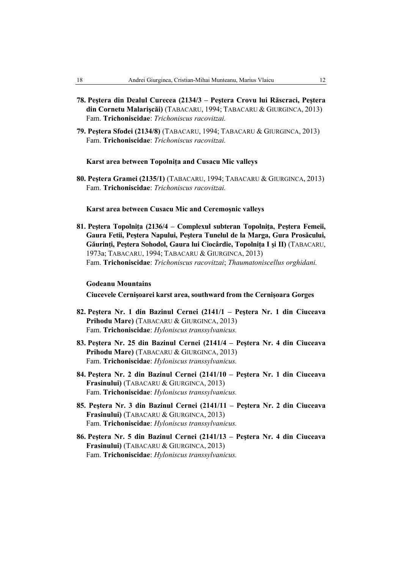- **78. Peştera din Dealul Curecea (2134/3 Peştera Crovu lui Răscraci, Peştera din Cornetu Malarişcăi)** (TABACARU, 1994; TABACARU & GIURGINCA, 2013) Fam. **Trichoniscidae**: *Trichoniscus racovitzai.*
- **79. Peştera Sfodei (2134/8)** (TABACARU, 1994; TABACARU & GIURGINCA, 2013) Fam. **Trichoniscidae**: *Trichoniscus racovitzai.*

### **Karst area between Topolniţa and Cusacu Mic valleys**

**80. Peştera Gramei (2135/1)** (TABACARU, 1994; TABACARU & GIURGINCA, 2013) Fam. **Trichoniscidae**: *Trichoniscus racovitzai.*

#### **Karst area between Cusacu Mic and Ceremoşnic valleys**

**81. Peştera Topolniţa (2136/4 – Complexul subteran Topolniţa, Peştera Femeii, Gaura Fetii, Peştera Napului, Peştera Tunelul de la Marga, Gura Prosăcului, Găurinţi, Peştera Sohodol, Gaura lui Ciocârdie, Topolniţa I şi II)** (TABACARU, 1973a; TABACARU, 1994; TABACARU & GIURGINCA, 2013) Fam. **Trichoniscidae**: *Trichoniscus racovitzai*; *Thaumatoniscellus orghidani.*

#### **Godeanu Mountains**

**Ciucevele Cernişoarei karst area, southward from the Cernişoara Gorges** 

- **82. Peştera Nr. 1 din Bazinul Cernei (2141/1 Peştera Nr. 1 din Ciuceava Prihodu Mare)** (TABACARU & GIURGINCA, 2013) Fam. **Trichoniscidae**: *Hyloniscus transsylvanicus.*
- **83. Peştera Nr. 25 din Bazinul Cernei (2141/4 Peştera Nr. 4 din Ciuceava Prihodu Mare)** (TABACARU & GIURGINCA, 2013) Fam. **Trichoniscidae**: *Hyloniscus transsylvanicus.*
- **84. Peştera Nr. 2 din Bazinul Cernei (2141/10 Peştera Nr. 1 din Ciuceava Frasinului)** (TABACARU & GIURGINCA, 2013) Fam. **Trichoniscidae**: *Hyloniscus transsylvanicus.*
- **85. Peştera Nr. 3 din Bazinul Cernei (2141/11 Peştera Nr. 2 din Ciuceava Frasinului)** (TABACARU & GIURGINCA, 2013) Fam. **Trichoniscidae**: *Hyloniscus transsylvanicus.*
- **86. Peştera Nr. 5 din Bazinul Cernei (2141/13 Peştera Nr. 4 din Ciuceava Frasinului)** (TABACARU & GIURGINCA, 2013) Fam. **Trichoniscidae**: *Hyloniscus transsylvanicus.*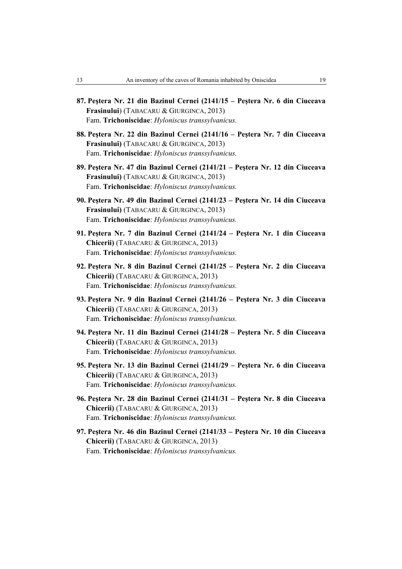- **87. Peştera Nr. 21 din Bazinul Cernei (2141/15 Peştera Nr. 6 din Ciuceava Frasinului**) (TABACARU & GIURGINCA, 2013) Fam. **Trichoniscidae**: *Hyloniscus transsylvanicus.*
- **88. Peştera Nr. 22 din Bazinul Cernei (2141/16 Peştera Nr. 7 din Ciuceava Frasinului)** (TABACARU & GIURGINCA, 2013) Fam. **Trichoniscidae**: *Hyloniscus transsylvanicus.*
- **89. Peştera Nr. 47 din Bazinul Cernei (2141/21 Peştera Nr. 12 din Ciuceava Frasinului)** (TABACARU & GIURGINCA, 2013) Fam. **Trichoniscidae**: *Hyloniscus transsylvanicus.*
- **90. Peştera Nr. 49 din Bazinul Cernei (2141/23 Peştera Nr. 14 din Ciuceava Frasinului)** (TABACARU & GIURGINCA, 2013) Fam. **Trichoniscidae**: *Hyloniscus transsylvanicus.*
- **91. Peştera Nr. 7 din Bazinul Cernei (2141/24 Peştera Nr. 1 din Ciuceava Chicerii)** (TABACARU & GIURGINCA, 2013) Fam. **Trichoniscidae**: *Hyloniscus transsylvanicus.*
- **92. Peştera Nr. 8 din Bazinul Cernei (2141/25 Peştera Nr. 2 din Ciuceava Chicerii)** (TABACARU & GIURGINCA, 2013) Fam. **Trichoniscidae**: *Hyloniscus transsylvanicus.*
- **93. Peştera Nr. 9 din Bazinul Cernei (2141/26 Peştera Nr. 3 din Ciuceava Chicerii)** (TABACARU & GIURGINCA, 2013) Fam. **Trichoniscidae**: *Hyloniscus transsylvanicus.*
- **94. Peştera Nr. 11 din Bazinul Cernei (2141/28 Peştera Nr. 5 din Ciuceava Chicerii)** (TABACARU & GIURGINCA, 2013) Fam. **Trichoniscidae**: *Hyloniscus transsylvanicus.*
- **95. Peştera Nr. 13 din Bazinul Cernei (2141/29 Peştera Nr. 6 din Ciuceava Chicerii)** (TABACARU & GIURGINCA, 2013) Fam. **Trichoniscidae**: *Hyloniscus transsylvanicus.*
- **96. Peştera Nr. 28 din Bazinul Cernei (2141/31 Peştera Nr. 8 din Ciuceava Chicerii)** (TABACARU & GIURGINCA, 2013) Fam. **Trichoniscidae**: *Hyloniscus transsylvanicus.*
- **97. Peştera Nr. 46 din Bazinul Cernei (2141/33 Peştera Nr. 10 din Ciuceava Chicerii)** (TABACARU & GIURGINCA, 2013) Fam. **Trichoniscidae**: *Hyloniscus transsylvanicus.*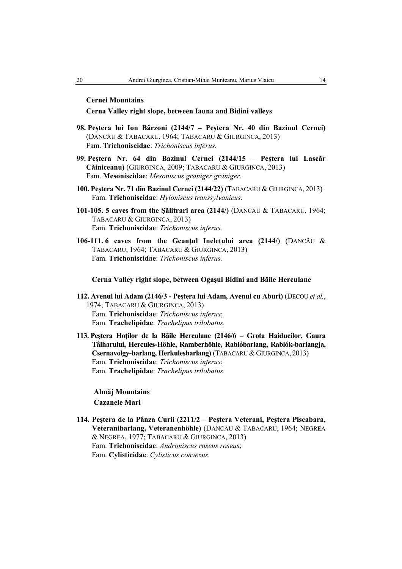## **Cernei Mountains**

#### **Cerna Valley right slope, between Iauna and Bidini valleys**

- **98. Peştera lui Ion Bârzoni (2144/7 Peştera Nr. 40 din Bazinul Cernei)**  (DANCĂU & TABACARU, 1964; TABACARU & GIURGINCA, 2013) Fam. **Trichoniscidae**: *Trichoniscus inferus.*
- **99. Peştera Nr. 64 din Bazinul Cernei (2144/15 Peştera lui Lascăr Căiniceanu)** (GIURGINCA, 2009; TABACARU & GIURGINCA, 2013) Fam. **Mesoniscidae**: *Mesoniscus graniger graniger.*
- **100. Peştera Nr. 71 din Bazinul Cernei (2144/22)** (TABACARU & GIURGINCA, 2013) Fam. **Trichoniscidae**: *Hyloniscus transsylvanicus.*
- **101-105. 5 caves from the Şălitrari area (2144/)** (DANCĂU & TABACARU, 1964; TABACARU & GIURGINCA, 2013) Fam. **Trichoniscidae**: *Trichoniscus inferus.*
- **106-111. 6 caves from the Geanţul Ineleţului area (2144/)** (DANCĂU & TABACARU, 1964; TABACARU & GIURGINCA, 2013) Fam. **Trichoniscidae**: *Trichoniscus inferus.*

### **Cerna Valley right slope, between Ogaşul Bidini and Băile Herculane**

- **112. Avenul lui Adam (2146/3 Peştera lui Adam, Avenul cu Aburi)** (DECOU *et al.*, 1974; TABACARU & GIURGINCA, 2013) Fam. **Trichoniscidae**: *Trichoniscus inferus*; Fam. **Trachelipidae**: *Trachelipus trilobatus.*
- **113. Peştera Hoţilor de la Băile Herculane (2146/6 Grota Haiducilor, Gaura Tâlharului, Hercules-Höhle, Ramberhöhle, Rablóbarlang, Rablók-barlangja, Csernavolgy-barlang, Herkulesbarlang)** (TABACARU &GIURGINCA, 2013) Fam. **Trichoniscidae**: *Trichoniscus inferus*; Fam. **Trachelipidae**: *Trachelipus trilobatus.*

**Almăj Mountains Cazanele Mari** 

**114. Peştera de la Pânza Curii (2211/2 – Peştera Veterani, Peştera Piscabara, Veteranibarlang, Veteranenhöhle)** (DANCĂU & TABACARU, 1964; NEGREA & NEGREA, 1977; TABACARU & GIURGINCA, 2013) Fam. **Trichoniscidae**: *Androniscus roseus roseus*; Fam. **Cylisticidae**: *Cylisticus convexus.*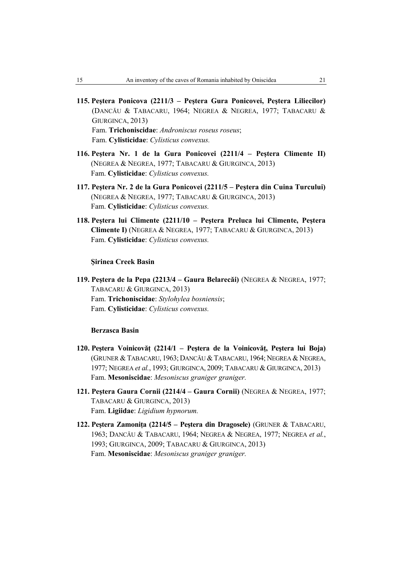- **115. Peştera Ponicova (2211/3 Peştera Gura Ponicovei, Peştera Liliecilor)**  (DANCĂU & TABACARU, 1964; NEGREA & NEGREA, 1977; TABACARU & GIURGINCA, 2013) Fam. **Trichoniscidae**: *Androniscus roseus roseus*; Fam. **Cylisticidae**: *Cylisticus convexus.*
- **116. Peştera Nr. 1 de la Gura Ponicovei (2211/4 Peştera Climente II)**  (NEGREA & NEGREA, 1977; TABACARU & GIURGINCA, 2013) Fam. **Cylisticidae**: *Cylisticus convexus.*
- **117. Peştera Nr. 2 de la Gura Ponicovei (2211/5 Peştera din Cuina Turcului)**  (NEGREA & NEGREA, 1977; TABACARU & GIURGINCA, 2013) Fam. **Cylisticidae**: *Cylisticus convexus.*
- **118. Peştera lui Climente (2211/10 Peştera Preluca lui Climente, Peştera Climente I)** (NEGREA & NEGREA, 1977; TABACARU & GIURGINCA, 2013) Fam. **Cylisticidae**: *Cylisticus convexus.*

**Şirinea Creek Basin** 

**119. Peştera de la Pepa (2213/4 – Gaura Belarecăi)** (NEGREA & NEGREA, 1977; TABACARU & GIURGINCA, 2013) Fam. **Trichoniscidae**: *Stylohylea bosniensis*; Fam. **Cylisticidae**: *Cylisticus convexus.*

## **Berzasca Basin**

- **120. Peştera Voinicovăţ (2214/1 Peştera de la Voinicovăţ, Peştera lui Boja)**  (GRUNER &TABACARU, 1963; DANCĂU &TABACARU, 1964; NEGREA & NEGREA, 1977; NEGREA *et al.*, 1993; GIURGINCA, 2009; TABACARU & GIURGINCA, 2013) Fam. **Mesoniscidae**: *Mesoniscus graniger graniger.*
- **121. Peştera Gaura Cornii (2214/4 Gaura Cornii)** (NEGREA & NEGREA, 1977; TABACARU & GIURGINCA, 2013) Fam. **Ligiidae**: *Ligidium hypnorum.*
- **122. Peştera Zamoniţa (2214/5 Peştera din Dragosele)** (GRUNER & TABACARU, 1963; DANCĂU & TABACARU, 1964; NEGREA & NEGREA, 1977; NEGREA *et al.*, 1993; GIURGINCA, 2009; TABACARU & GIURGINCA, 2013) Fam. **Mesoniscidae**: *Mesoniscus graniger graniger.*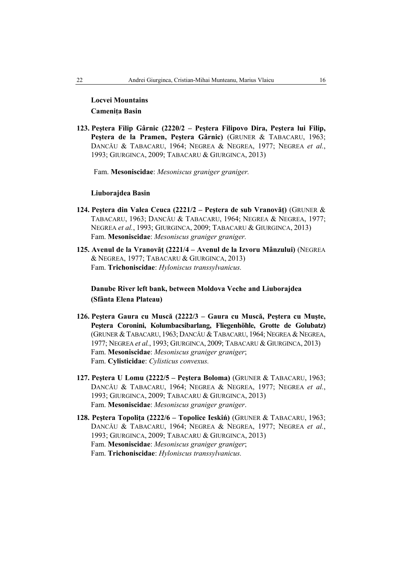## **Locvei Mountains Cameniţa Basin**

**123. Peştera Filip Gârnic (2220/2 – Peștera Filipovo Dira, Peştera lui Filip, Peştera de la Pramen, Peştera Gârnic)** (GRUNER & TABACARU, 1963; DANCĂU & TABACARU, 1964; NEGREA & NEGREA, 1977; NEGREA *et al.*, 1993; GIURGINCA, 2009; TABACARU & GIURGINCA, 2013)

Fam. **Mesoniscidae**: *Mesoniscus graniger graniger.*

#### **Liuborajdea Basin**

- **124. Peştera din Valea Ceuca (2221/2 Peştera de sub Vranovăţ)** (GRUNER & TABACARU, 1963; DANCĂU & TABACARU, 1964; NEGREA & NEGREA, 1977; NEGREA *et al.*, 1993; GIURGINCA, 2009; TABACARU & GIURGINCA, 2013) Fam. **Mesoniscidae**: *Mesoniscus graniger graniger.*
- **125. Avenul de la Vranovăţ (2221/4 Avenul de la Izvoru Mânzului)** (NEGREA & NEGREA, 1977; TABACARU & GIURGINCA, 2013) Fam. **Trichoniscidae**: *Hyloniscus transsylvanicus.*

**Danube River left bank, between Moldova Veche and Liuborajdea (Sfânta Elena Plateau)** 

- **126. Peştera Gaura cu Muscă (2222/3 Gaura cu Muscă, Peştera cu Muşte, Peştera Coronini, Kolumbacsibarlang, Fliegenhöhle, Grotte de Golubatz)**  (GRUNER & TABACARU, 1963; DANCĂU & TABACARU, 1964; NEGREA & NEGREA, 1977; NEGREA *et al.*, 1993; GIURGINCA, 2009; TABACARU & GIURGINCA, 2013) Fam. **Mesoniscidae**: *Mesoniscus graniger graniger*; Fam. **Cylisticidae**: *Cylisticus convexus.*
- **127. Peştera U Lomu (2222/5 Peştera Boloma)** (GRUNER & TABACARU, 1963; DANCĂU & TABACARU, 1964; NEGREA & NEGREA, 1977; NEGREA *et al.*, 1993; GIURGINCA, 2009; TABACARU & GIURGINCA, 2013) Fam. **Mesoniscidae**: *Mesoniscus graniger graniger*.
- **128. Peştera Topoliţa (2222/6 Topolice Ieskiń)** (GRUNER & TABACARU, 1963; DANCĂU & TABACARU, 1964; NEGREA & NEGREA, 1977; NEGREA *et al.*, 1993; GIURGINCA, 2009; TABACARU & GIURGINCA, 2013) Fam. **Mesoniscidae**: *Mesoniscus graniger graniger*; Fam. **Trichoniscidae**: *Hyloniscus transsylvanicus.*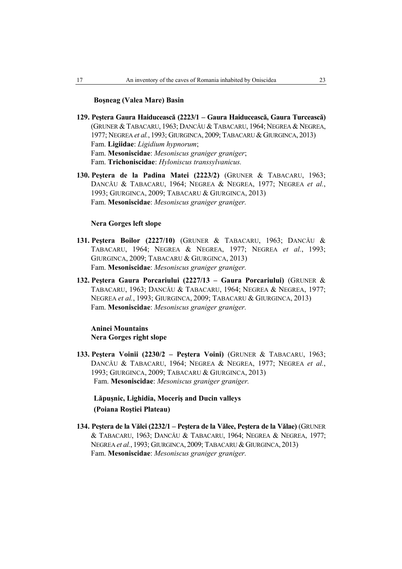### **Boşneag (Valea Mare) Basin**

- **129. Peştera Gaura Haiducească (2223/1 Gaura Haiducească, Gaura Turcească)**  (GRUNER & TABACARU, 1963; DANCĂU & TABACARU, 1964; NEGREA & NEGREA, 1977; NEGREA *et al.*, 1993; GIURGINCA, 2009; TABACARU &GIURGINCA, 2013) Fam. **Ligiidae**: *Ligidium hypnorum*; Fam. **Mesoniscidae**: *Mesoniscus graniger graniger*; Fam. **Trichoniscidae**: *Hyloniscus transsylvanicus.*
- **130. Peştera de la Padina Matei (2223/2)** (GRUNER & TABACARU, 1963; DANCĂU & TABACARU, 1964; NEGREA & NEGREA, 1977; NEGREA *et al.*, 1993; GIURGINCA, 2009; TABACARU & GIURGINCA, 2013) Fam. **Mesoniscidae**: *Mesoniscus graniger graniger.*

#### **Nera Gorges left slope**

- **131. Peştera Boilor (2227/10)** (GRUNER & TABACARU, 1963; DANCĂU & TABACARU, 1964; NEGREA & NEGREA, 1977; NEGREA *et al.*, 1993; GIURGINCA, 2009; TABACARU & GIURGINCA, 2013) Fam. **Mesoniscidae**: *Mesoniscus graniger graniger.*
- **132. Peştera Gaura Porcariului (2227/13 Gaura Porcariului)** (GRUNER & TABACARU, 1963; DANCĂU & TABACARU, 1964; NEGREA & NEGREA, 1977; NEGREA *et al.*, 1993; GIURGINCA, 2009; TABACARU & GIURGINCA, 2013) Fam. **Mesoniscidae**: *Mesoniscus graniger graniger.*

## **Aninei Mountains Nera Gorges right slope**

**133. Peştera Voinii (2230/2 – Peştera Voini)** (GRUNER & TABACARU, 1963; DANCĂU & TABACARU, 1964; NEGREA & NEGREA, 1977; NEGREA *et al.*, 1993; GIURGINCA, 2009; TABACARU & GIURGINCA, 2013) Fam. **Mesoniscidae**: *Mesoniscus graniger graniger.*

## **Lăpuşnic, Lighidia, Moceriş and Ducin valleys (Poiana Roştiei Plateau)**

**134. Peştera de la Vălei (2232/1 – Peştera de la Vălee, Peştera de la Vălae)** (GRUNER & TABACARU, 1963; DANCĂU & TABACARU, 1964; NEGREA & NEGREA, 1977; NEGREA *et al.*, 1993; GIURGINCA, 2009; TABACARU & GIURGINCA, 2013) Fam. **Mesoniscidae**: *Mesoniscus graniger graniger.*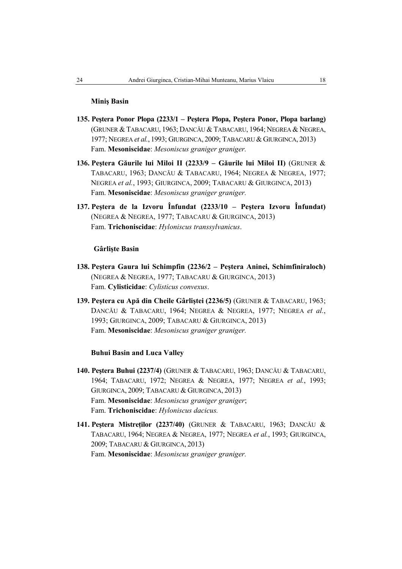## **Miniş Basin**

- **135. Peştera Ponor Plopa (2233/1 Peştera Plopa, Peştera Ponor, Plopa barlang)**  (GRUNER & TABACARU, 1963; DANCĂU & TABACARU, 1964; NEGREA & NEGREA, 1977; NEGREA *et al.*, 1993; GIURGINCA, 2009; TABACARU &GIURGINCA, 2013) Fam. **Mesoniscidae**: *Mesoniscus graniger graniger.*
- **136. Peştera Găurile lui Miloi II (2233/9 Găurile lui Miloi II)** (GRUNER & TABACARU, 1963; DANCĂU & TABACARU, 1964; NEGREA & NEGREA, 1977; NEGREA *et al.*, 1993; GIURGINCA, 2009; TABACARU & GIURGINCA, 2013) Fam. **Mesoniscidae**: *Mesoniscus graniger graniger.*
- **137. Peştera de la Izvoru Înfundat (2233/10 Peştera Izvoru Înfundat)**  (NEGREA & NEGREA, 1977; TABACARU & GIURGINCA, 2013) Fam. **Trichoniscidae**: *Hyloniscus transsylvanicus*.

## **Gârlişte Basin**

- **138. Peştera Gaura lui Schimpfin (2236/2 Peştera Aninei, Schimfiniraloch)**  (NEGREA & NEGREA, 1977; TABACARU & GIURGINCA, 2013) Fam. **Cylisticidae**: *Cylisticus convexus*.
- **139. Peştera cu Apă din Cheile Gârliştei (2236/5)** (GRUNER & TABACARU, 1963; DANCĂU & TABACARU, 1964; NEGREA & NEGREA, 1977; NEGREA *et al.*, 1993; GIURGINCA, 2009; TABACARU & GIURGINCA, 2013) Fam. **Mesoniscidae**: *Mesoniscus graniger graniger.*

## **Buhui Basin and Luca Valley**

- **140. Peştera Buhui (2237/4)** (GRUNER & TABACARU, 1963; DANCĂU & TABACARU, 1964; TABACARU, 1972; NEGREA & NEGREA, 1977; NEGREA *et al.*, 1993; GIURGINCA, 2009; TABACARU & GIURGINCA, 2013) Fam. **Mesoniscidae**: *Mesoniscus graniger graniger*; Fam. **Trichoniscidae**: *Hyloniscus dacicus.*
- **141. Peştera Mistreţilor (2237/40)** (GRUNER & TABACARU, 1963; DANCĂU & TABACARU, 1964; NEGREA & NEGREA, 1977; NEGREA *et al.*, 1993; GIURGINCA, 2009; TABACARU & GIURGINCA, 2013) Fam. **Mesoniscidae**: *Mesoniscus graniger graniger.*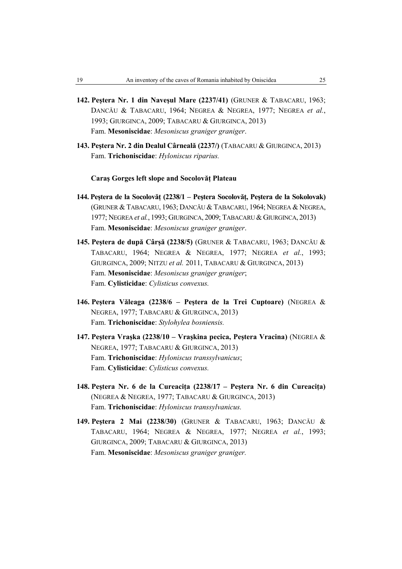- **142. Peştera Nr. 1 din Naveşul Mare (2237/41)** (GRUNER & TABACARU, 1963; DANCĂU & TABACARU, 1964; NEGREA & NEGREA, 1977; NEGREA *et al.*, 1993; GIURGINCA, 2009; TABACARU & GIURGINCA, 2013) Fam. **Mesoniscidae**: *Mesoniscus graniger graniger*.
- **143. Peştera Nr. 2 din Dealul Cârneală (2237/)** (TABACARU & GIURGINCA, 2013) Fam. **Trichoniscidae**: *Hyloniscus riparius.*

## **Caraş Gorges left slope and Socolovăţ Plateau**

- **144. Peştera de la Socolovăț (2238/1 Peştera Socolovăţ, Peştera de la Sokolovak)**  (GRUNER & TABACARU, 1963; DANCĂU & TABACARU, 1964; NEGREA & NEGREA, 1977; NEGREA *et al.*, 1993; GIURGINCA, 2009; TABACARU & GIURGINCA, 2013) Fam. **Mesoniscidae**: *Mesoniscus graniger graniger*.
- **145. Peştera de după Cârşă (2238/5)** (GRUNER & TABACARU, 1963; DANCĂU & TABACARU, 1964; NEGREA & NEGREA, 1977; NEGREA *et al.*, 1993; GIURGINCA, 2009; NITZU *et al.* 2011, TABACARU & GIURGINCA, 2013) Fam. **Mesoniscidae**: *Mesoniscus graniger graniger*; Fam. **Cylisticidae**: *Cylisticus convexus.*
- **146. Peştera Văleaga (2238/6** *–* **Peştera de la Trei Cuptoare)** (NEGREA & NEGREA, 1977; TABACARU & GIURGINCA, 2013) Fam. **Trichoniscidae**: *Stylohylea bosniensis.*
- **147. Peştera Vraşka (2238/10 Vraşkina pecica, Peştera Vracina)** (NEGREA & NEGREA, 1977; TABACARU & GIURGINCA, 2013) Fam. **Trichoniscidae**: *Hyloniscus transsylvanicus*; Fam. **Cylisticidae**: *Cylisticus convexus.*
- **148. Peştera Nr. 6 de la Cureaciţa (2238/17 Peştera Nr. 6 din Cureaciţa)**  (NEGREA & NEGREA, 1977; TABACARU & GIURGINCA, 2013) Fam. **Trichoniscidae**: *Hyloniscus transsylvanicus.*
- **149. Peştera 2 Mai (2238/30)** (GRUNER & TABACARU, 1963; DANCĂU & TABACARU, 1964; NEGREA & NEGREA, 1977; NEGREA *et al.*, 1993; GIURGINCA, 2009; TABACARU & GIURGINCA, 2013) Fam. **Mesoniscidae**: *Mesoniscus graniger graniger.*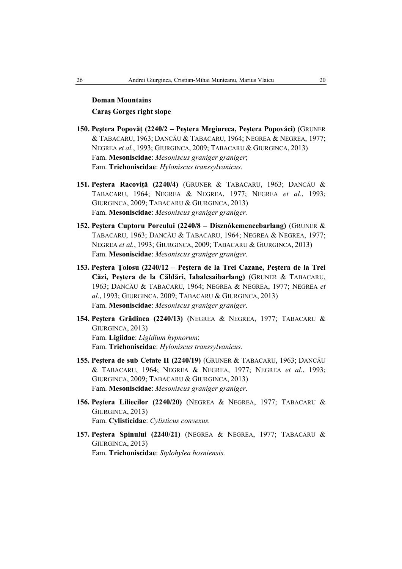# **Doman Mountains**

**Caraş Gorges right slope** 

- **150. Peştera Popovăţ (2240/2 Peştera Megiureca, Peştera Popováci)** (GRUNER & TABACARU, 1963; DANCĂU & TABACARU, 1964; NEGREA & NEGREA, 1977; NEGREA *et al.*, 1993; GIURGINCA, 2009; TABACARU & GIURGINCA, 2013) Fam. **Mesoniscidae**: *Mesoniscus graniger graniger*; Fam. **Trichoniscidae**: *Hyloniscus transsylvanicus.*
- **151. Peştera Racoviţă (2240/4)** (GRUNER & TABACARU, 1963; DANCĂU & TABACARU, 1964; NEGREA & NEGREA, 1977; NEGREA *et al.*, 1993; GIURGINCA, 2009; TABACARU & GIURGINCA, 2013) Fam. **Mesoniscidae**: *Mesoniscus graniger graniger.*
- **152. Peştera Cuptoru Porcului (2240/8 Disznókemencebarlang)** (GRUNER & TABACARU, 1963; DANCĂU & TABACARU, 1964; NEGREA & NEGREA, 1977; NEGREA *et al.*, 1993; GIURGINCA, 2009; TABACARU & GIURGINCA, 2013) Fam. **Mesoniscidae**: *Mesoniscus graniger graniger*.
- **153. Peştera Ţolosu (2240/12 Peştera de la Trei Cazane, Peştera de la Trei Căzi, Peştera de la Căldări, Iabalcsaibarlang)** (GRUNER & TABACARU, 1963; DANCĂU & TABACARU, 1964; NEGREA & NEGREA, 1977; NEGREA *et al.*, 1993; GIURGINCA, 2009; TABACARU & GIURGINCA, 2013) Fam. **Mesoniscidae**: *Mesoniscus graniger graniger*.
- **154. Peştera Grădinca (2240/13)** (NEGREA & NEGREA, 1977; TABACARU & GIURGINCA, 2013) Fam. **Ligiidae**: *Ligidium hypnorum*; Fam. **Trichoniscidae**: *Hyloniscus transsylvanicus.*
- **155. Peştera de sub Cetate II (2240/19)** (GRUNER & TABACARU, 1963; DANCĂU & TABACARU, 1964; NEGREA & NEGREA, 1977; NEGREA *et al.*, 1993; GIURGINCA, 2009; TABACARU & GIURGINCA, 2013) Fam. **Mesoniscidae**: *Mesoniscus graniger graniger*.
- **156. Peştera Liliecilor (2240/20)** (NEGREA & NEGREA, 1977; TABACARU & GIURGINCA, 2013) Fam. **Cylisticidae**: *Cylisticus convexus.*
- **157. Peştera Spinului (2240/21)** (NEGREA & NEGREA, 1977; TABACARU & GIURGINCA, 2013) Fam. **Trichoniscidae**: *Stylohylea bosniensis.*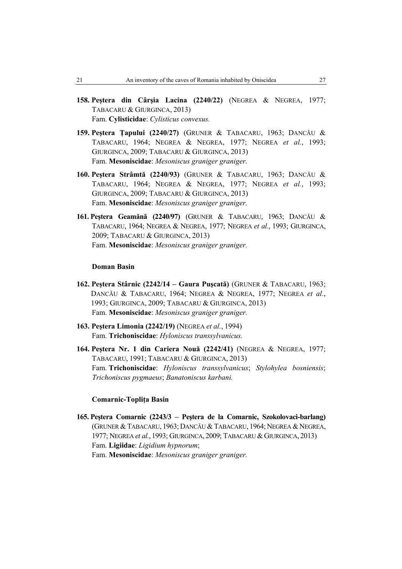- **158. Peştera din Cârşia Lacina (2240/22)** (NEGREA & NEGREA, 1977; TABACARU & GIURGINCA, 2013) Fam. **Cylisticidae**: *Cylisticus convexus.*
- **159. Peştera Ţapului (2240/27)** (GRUNER & TABACARU, 1963; DANCĂU & TABACARU, 1964; NEGREA & NEGREA, 1977; NEGREA *et al.*, 1993; GIURGINCA, 2009; TABACARU & GIURGINCA, 2013) Fam. **Mesoniscidae**: *Mesoniscus graniger graniger.*
- **160. Peştera Strâmtă (2240/93)** (GRUNER & TABACARU, 1963; DANCĂU & TABACARU, 1964; NEGREA & NEGREA, 1977; NEGREA *et al.*, 1993; GIURGINCA, 2009; TABACARU & GIURGINCA, 2013) Fam. **Mesoniscidae**: *Mesoniscus graniger graniger.*
- **161. Peştera Geamănă (2240/97)** (GRUNER & TABACARU, 1963; DANCĂU & TABACARU, 1964; NEGREA & NEGREA, 1977; NEGREA *et al.*, 1993; GIURGINCA, 2009; TABACARU & GIURGINCA, 2013) Fam. **Mesoniscidae**: *Mesoniscus graniger graniger.*

## **Doman Basin**

- **162. Peştera Stârnic (2242/14 Gaura Puşcată)** (GRUNER & TABACARU, 1963; DANCĂU & TABACARU, 1964; NEGREA & NEGREA, 1977; NEGREA *et al.*, 1993; GIURGINCA, 2009; TABACARU & GIURGINCA, 2013) Fam. **Mesoniscidae**: *Mesoniscus graniger graniger.*
- **163. Peştera Limonia (2242/19)** (NEGREA *et al.*, 1994) Fam. **Trichoniscidae**: *Hyloniscus transsylvanicus.*
- **164. Peştera Nr. 1 din Cariera Nouă (2242/41)** (NEGREA & NEGREA, 1977; TABACARU, 1991; TABACARU & GIURGINCA, 2013) Fam. **Trichoniscidae**: *Hyloniscus transsylvanicus*; *Stylohylea bosniensis*; *Trichoniscus pygmaeus*; *Banatoniscus karbani.*

#### **Comarnic-Topliţa Basin**

**165. Peştera Comarnic (2243/3 – Peştera de la Comarnic, Szokolovaci-barlang)**  (GRUNER & TABACARU, 1963; DANCĂU & TABACARU, 1964; NEGREA & NEGREA, 1977; NEGREA *et al.*, 1993; GIURGINCA, 2009; TABACARU &GIURGINCA, 2013) Fam. **Ligiidae**: *Ligidium hypnorum*; Fam. **Mesoniscidae**: *Mesoniscus graniger graniger.*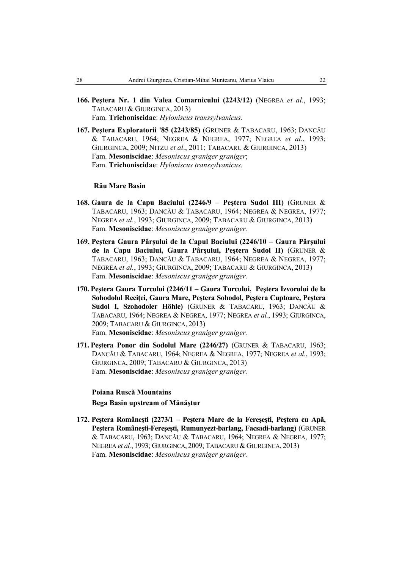- **166. Peştera Nr. 1 din Valea Comarnicului (2243/12)** (NEGREA *et al.*, 1993; TABACARU & GIURGINCA, 2013) Fam. **Trichoniscidae**: *Hyloniscus transsylvanicus.*
- **167. Peştera Exploratorii '85 (2243/85)** (GRUNER & TABACARU, 1963; DANCĂU & TABACARU, 1964; NEGREA & NEGREA, 1977; NEGREA *et al.*, 1993; GIURGINCA, 2009; NITZU *et al*., 2011; TABACARU & GIURGINCA, 2013) Fam. **Mesoniscidae**: *Mesoniscus graniger graniger*; Fam. **Trichoniscidae**: *Hyloniscus transsylvanicus.*

### **Râu Mare Basin**

- **168. Gaura de la Capu Baciului (2246/9 Peştera Sudol III)** (GRUNER & TABACARU, 1963; DANCĂU & TABACARU, 1964; NEGREA & NEGREA, 1977; NEGREA *et al.*, 1993; GIURGINCA, 2009; TABACARU & GIURGINCA, 2013) Fam. **Mesoniscidae**: *Mesoniscus graniger graniger.*
- **169. Peştera Gaura Pârşului de la Capul Baciului (2246/10 Gaura Pârşului de la Capu Baciului, Gaura Pârşului, Peştera Sudol II)** (GRUNER & TABACARU, 1963; DANCĂU & TABACARU, 1964; NEGREA & NEGREA, 1977; NEGREA *et al.*, 1993; GIURGINCA, 2009; TABACARU & GIURGINCA, 2013) Fam. **Mesoniscidae**: *Mesoniscus graniger graniger.*
- **170. Peştera Gaura Turcului (2246/11 Gaura Turcului, Peştera Izvorului de la Sohodolul Reciţei, Gaura Mare, Peştera Sohodol, Peştera Cuptoare, Peştera Sudol I, Szohodoler Höhle)** (GRUNER & TABACARU, 1963; DANCĂU & TABACARU, 1964; NEGREA & NEGREA, 1977; NEGREA *et al.*, 1993; GIURGINCA, 2009; TABACARU & GIURGINCA, 2013) Fam. **Mesoniscidae**: *Mesoniscus graniger graniger.*
- **171. Peştera Ponor din Sodolul Mare (2246/27)** (GRUNER & TABACARU, 1963; DANCĂU & TABACARU, 1964; NEGREA & NEGREA, 1977; NEGREA *et al.*, 1993; GIURGINCA, 2009; TABACARU & GIURGINCA, 2013) Fam. **Mesoniscidae**: *Mesoniscus graniger graniger.*

## **Poiana Ruscă Mountains Bega Basin upstream of Mănăştur**

**172. Peştera Româneşti (2273/1 – Peştera Mare de la Fereşeşti, Peştera cu Apă, Peştera Româneşti-Fereşeşti, Rumunyezt-barlang, Facsadi-barlang)** (GRUNER & TABACARU, 1963; DANCĂU & TABACARU, 1964; NEGREA & NEGREA, 1977; NEGREA *et al.*, 1993; GIURGINCA, 2009; TABACARU &GIURGINCA, 2013) Fam. **Mesoniscidae**: *Mesoniscus graniger graniger.*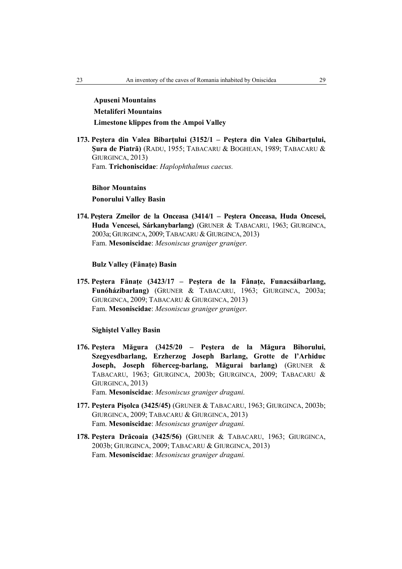**Apuseni Mountains Metaliferi Mountains Limestone klippes from the Ampoi Valley** 

**173. Peştera din Valea Bibarţului (3152/1 – Peştera din Valea Ghibarţului, Şura de Piatră)** (RADU, 1955; TABACARU & BOGHEAN, 1989; TABACARU & GIURGINCA, 2013) Fam. **Trichoniscidae**: *Haplophthalmus caecus.*

**Bihor Mountains Ponorului Valley Basin** 

**174. Peştera Zmeilor de la Onceasa (3414/1 – Peştera Onceasa, Huda Oncesei, Huda Vencesei, Sárkanybarlang)** (GRUNER & TABACARU, 1963; GIURGINCA, 2003a; GIURGINCA, 2009; TABACARU & GIURGINCA, 2013) Fam. **Mesoniscidae**: *Mesoniscus graniger graniger.*

## **Bulz Valley (Fânaţe) Basin**

**175. Peştera Fânaţe (3423/17 – Peştera de la Fânaţe, Funacsáibarlang, Funóházibarlang)** (GRUNER & TABACARU, 1963; GIURGINCA, 2003a; GIURGINCA, 2009; TABACARU & GIURGINCA, 2013) Fam. **Mesoniscidae**: *Mesoniscus graniger graniger.*

**Sighiştel Valley Basin** 

- **176. Peştera Măgura (3425/20 Peştera de la Măgura Bihorului, Szegyesdbarlang, Erzherzog Joseph Barlang, Grotte de l'Arhiduc Joseph, Joseph föherceg-barlang, Măgurai barlang)** (GRUNER & TABACARU, 1963; GIURGINCA, 2003b; GIURGINCA, 2009; TABACARU & GIURGINCA, 2013) Fam. **Mesoniscidae**: *Mesoniscus graniger dragani.*
- **177. Peştera Pişolca (3425/45)** (GRUNER & TABACARU, 1963; GIURGINCA, 2003b; GIURGINCA, 2009; TABACARU & GIURGINCA, 2013) Fam. **Mesoniscidae**: *Mesoniscus graniger dragani.*
- **178. Peştera Drăcoaia (3425/56)** (GRUNER & TABACARU, 1963; GIURGINCA, 2003b; GIURGINCA, 2009; TABACARU & GIURGINCA, 2013) Fam. **Mesoniscidae**: *Mesoniscus graniger dragani.*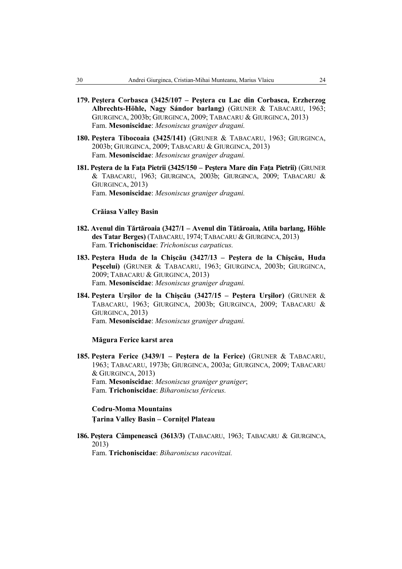- **179. Peştera Corbasca (3425/107 Peştera cu Lac din Corbasca, Erzherzog Albrechts-Höhle, Nagy Sándor barlang)** (GRUNER & TABACARU, 1963; GIURGINCA, 2003b; GIURGINCA, 2009; TABACARU & GIURGINCA, 2013) Fam. **Mesoniscidae**: *Mesoniscus graniger dragani.*
- **180. Peştera Tibocoaia (3425/141)** (GRUNER & TABACARU, 1963; GIURGINCA, 2003b; GIURGINCA, 2009; TABACARU & GIURGINCA, 2013) Fam. **Mesoniscidae**: *Mesoniscus graniger dragani.*
- **181. Peştera de la Faţa Pietrii (3425/150 Peştera Mare din Faţa Pietrii)** (GRUNER & TABACARU, 1963; GIURGINCA, 2003b; GIURGINCA, 2009; TABACARU & GIURGINCA, 2013) Fam. **Mesoniscidae**: *Mesoniscus graniger dragani.*

#### **Crăiasa Valley Basin**

- **182. Avenul din Tărtăroaia (3427/1 Avenul din Tătăroaia, Atila barlang, Höhle des Tatar Berges)** (TABACARU, 1974; TABACARU & GIURGINCA, 2013) Fam. **Trichoniscidae**: *Trichoniscus carpaticus.*
- **183. Peştera Huda de la Chişcău (3427/13 Peştera de la Chişcău, Huda Peşcelui)** (GRUNER & TABACARU, 1963; GIURGINCA, 2003b; GIURGINCA, 2009; TABACARU & GIURGINCA, 2013) Fam. **Mesoniscidae**: *Mesoniscus graniger dragani.*
- **184. Peştera Urşilor de la Chişcău (3427/15 Peştera Urşilor)** (GRUNER & TABACARU, 1963; GIURGINCA, 2003b; GIURGINCA, 2009; TABACARU & GIURGINCA, 2013) Fam. **Mesoniscidae**: *Mesoniscus graniger dragani.*

## **Măgura Ferice karst area**

**185. Peştera Ferice (3439/1 – Peştera de la Ferice)** (GRUNER & TABACARU, 1963; TABACARU, 1973b; GIURGINCA, 2003a; GIURGINCA, 2009; TABACARU & GIURGINCA, 2013) Fam. **Mesoniscidae**: *Mesoniscus graniger graniger*; Fam. **Trichoniscidae**: *Biharoniscus fericeus.*

## **Codru-Moma Mountains Ţarina Valley Basin – Corniţel Plateau**

**186. Peştera Câmpenească (3613/3)** (TABACARU, 1963; TABACARU & GIURGINCA, 2013)

Fam. **Trichoniscidae**: *Biharoniscus racovitzai.*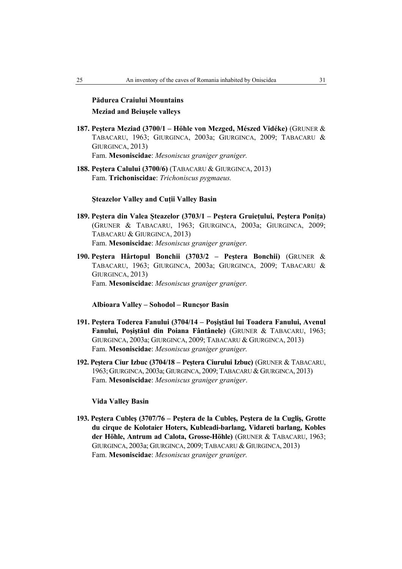# **Pădurea Craiului Mountains Meziad and Beiuşele valleys**

- **187. Peştera Meziad (3700/1 Höhle von Mezged, Mészed Vidéke)** (GRUNER & TABACARU, 1963; GIURGINCA, 2003a; GIURGINCA, 2009; TABACARU & GIURGINCA, 2013) Fam. **Mesoniscidae**: *Mesoniscus graniger graniger.*
- **188. Peştera Calului (3700/6)** (TABACARU & GIURGINCA, 2013) Fam. **Trichoniscidae**: *Trichoniscus pygmaeus.*

## **Şteazelor Valley and Cuţii Valley Basin**

- **189. Peştera din Valea Şteazelor (3703/1 Peştera Gruieţului, Peştera Poniţa)**  (GRUNER & TABACARU, 1963; GIURGINCA, 2003a; GIURGINCA, 2009; TABACARU & GIURGINCA, 2013) Fam. **Mesoniscidae**: *Mesoniscus graniger graniger.*
- **190. Peştera Hârtopul Bonchii (3703/2 Peştera Bonchii)** (GRUNER & TABACARU, 1963; GIURGINCA, 2003a; GIURGINCA, 2009; TABACARU & GIURGINCA, 2013) Fam. **Mesoniscidae**: *Mesoniscus graniger graniger.*

#### **Albioara Valley – Sohodol – Runcşor Basin**

- **191. Peştera Toderea Fanului (3704/14 Poşiştăul lui Toadera Fanului, Avenul Fanului, Poşiştăul din Poiana Fântânele)** (GRUNER & TABACARU, 1963; GIURGINCA, 2003a; GIURGINCA, 2009; TABACARU & GIURGINCA, 2013) Fam. **Mesoniscidae**: *Mesoniscus graniger graniger.*
- **192. Peştera Ciur Izbuc (3704/18 Peştera Ciurului Izbuc)** (GRUNER & TABACARU, 1963; GIURGINCA, 2003a; GIURGINCA, 2009; TABACARU &GIURGINCA, 2013) Fam. **Mesoniscidae**: *Mesoniscus graniger graniger*.

#### **Vida Valley Basin**

**193. Peştera Cubleş (3707/76 – Peştera de la Cubleş, Peştera de la Cugliş, Grotte du cirque de Kolotaier Hoters, Kubleadi-barlang, Vidareti barlang, Kobles der Höhle, Antrum ad Calota, Grosse-Höhle)** (GRUNER & TABACARU, 1963; GIURGINCA, 2003a; GIURGINCA, 2009; TABACARU & GIURGINCA, 2013) Fam. **Mesoniscidae**: *Mesoniscus graniger graniger.*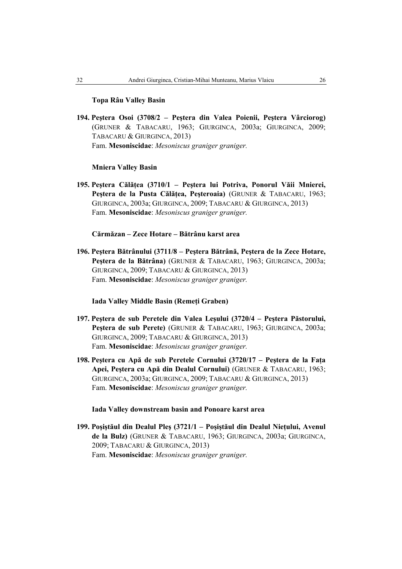## **Topa Râu Valley Basin**

**194. Peştera Osoi (3708/2 – Peştera din Valea Poienii, Peştera Vârciorog)**  (GRUNER & TABACARU, 1963; GIURGINCA, 2003a; GIURGINCA, 2009; TABACARU & GIURGINCA, 2013) Fam. **Mesoniscidae**: *Mesoniscus graniger graniger.*

## **Mniera Valley Basin**

**195. Peştera Călăţea (3710/1 – Peştera lui Potriva, Ponorul Văii Mnierei, Peştera de la Pusta Călăţea, Peşteroaia)** (GRUNER & TABACARU, 1963; GIURGINCA, 2003a; GIURGINCA, 2009; TABACARU & GIURGINCA, 2013) Fam. **Mesoniscidae**: *Mesoniscus graniger graniger.*

## **Cărmăzan – Zece Hotare – Bătrânu karst area**

**196. Peştera Bătrânului (3711/8 – Peştera Bătrână, Peştera de la Zece Hotare, Peştera de la Bătrâna)** (GRUNER & TABACARU, 1963; GIURGINCA, 2003a; GIURGINCA, 2009; TABACARU & GIURGINCA, 2013) Fam. **Mesoniscidae**: *Mesoniscus graniger graniger.*

## **Iada Valley Middle Basin (Remeţi Graben)**

- **197. Peştera de sub Peretele din Valea Leşului (3720/4 Peştera Păstorului, Peştera de sub Perete)** (GRUNER & TABACARU, 1963; GIURGINCA, 2003a; GIURGINCA, 2009; TABACARU & GIURGINCA, 2013) Fam. **Mesoniscidae**: *Mesoniscus graniger graniger.*
- **198. Peştera cu Apă de sub Peretele Cornului (3720/17 Peştera de la Faţa Apei, Peştera cu Apă din Dealul Cornului)** (GRUNER & TABACARU, 1963; GIURGINCA, 2003a; GIURGINCA, 2009; TABACARU & GIURGINCA, 2013) Fam. **Mesoniscidae**: *Mesoniscus graniger graniger.*

## **Iada Valley downstream basin and Ponoare karst area**

**199. Poşiştăul din Dealul Pleş (3721/1 – Poşiştăul din Dealul Nieţului, Avenul de la Bulz)** (GRUNER & TABACARU, 1963; GIURGINCA, 2003a; GIURGINCA, 2009; TABACARU & GIURGINCA, 2013) Fam. **Mesoniscidae**: *Mesoniscus graniger graniger.*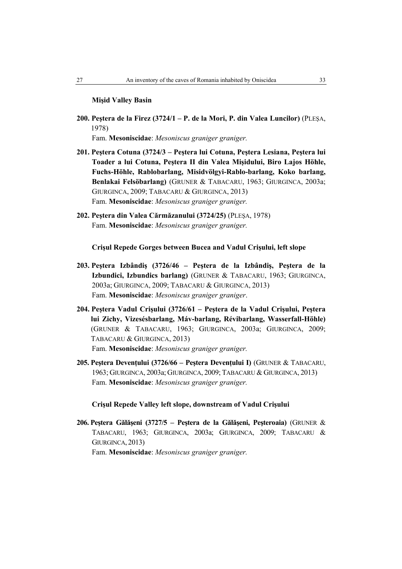## **Mişid Valley Basin**

- **200. Peştera de la Firez (3724/1 P. de la Mori, P. din Valea Luncilor)** (PLEŞA, 1978) Fam. **Mesoniscidae**: *Mesoniscus graniger graniger.*
- **201. Peştera Cotuna (3724/3 Peştera lui Cotuna, Peştera Lesiana, Peştera lui Toader a lui Cotuna, Peştera II din Valea Mişidului, Biro Lajos Höhle, Fuchs-Höhle, Rablobarlang, Misidvölgyi-Rablo-barlang, Koko barlang, Benlakai Felsöbarlang)** (GRUNER & TABACARU, 1963; GIURGINCA, 2003a; GIURGINCA, 2009; TABACARU & GIURGINCA, 2013) Fam. **Mesoniscidae**: *Mesoniscus graniger graniger.*
- **202. Peştera din Valea Cărmăzanului (3724/25)** (PLEŞA, 1978) Fam. **Mesoniscidae**: *Mesoniscus graniger graniger.*

**Crişul Repede Gorges between Bucea and Vadul Crişului, left slope** 

- **203. Peştera Izbândiş (3726/46 Peştera de la Izbândiş, Peştera de la Izbundici, Izbundics barlang)** (GRUNER & TABACARU, 1963; GIURGINCA, 2003a; GIURGINCA, 2009; TABACARU & GIURGINCA, 2013) Fam. **Mesoniscidae**: *Mesoniscus graniger graniger*.
- **204. Peştera Vadul Crişului (3726/61 Peştera de la Vadul Crişului, Peştera lui Zichy, Vizesésbarlang, Máv-barlang, Révibarlang, Wasserfall-Höhle)**  (GRUNER & TABACARU, 1963; GIURGINCA, 2003a; GIURGINCA, 2009; TABACARU & GIURGINCA, 2013) Fam. **Mesoniscidae**: *Mesoniscus graniger graniger.*
- **205. Peştera Devenţului (3726/66 Peştera Devenţului I)** (GRUNER & TABACARU, 1963; GIURGINCA, 2003a; GIURGINCA, 2009; TABACARU & GIURGINCA, 2013) Fam. **Mesoniscidae**: *Mesoniscus graniger graniger.*

#### **Crişul Repede Valley left slope, downstream of Vadul Crişului**

**206. Peştera Gălăşeni (3727/5 – Peştera de la Gălăşeni, Peşteroaia)** (GRUNER & TABACARU, 1963; GIURGINCA, 2003a; GIURGINCA, 2009; TABACARU & GIURGINCA, 2013) Fam. **Mesoniscidae**: *Mesoniscus graniger graniger.*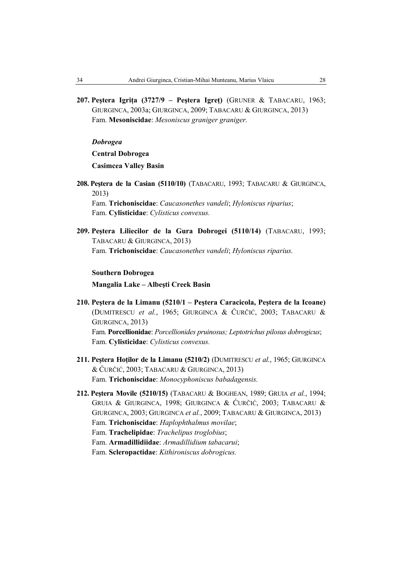**207. Peştera Igriţa (3727/9 – Peştera Igreţ)** (GRUNER & TABACARU, 1963; GIURGINCA, 2003a; GIURGINCA, 2009; TABACARU & GIURGINCA, 2013) Fam. **Mesoniscidae**: *Mesoniscus graniger graniger.*

*Dobrogea* **Central Dobrogea Casimcea Valley Basin** 

**208. Peştera de la Casian (5110/10)** (TABACARU, 1993; TABACARU & GIURGINCA, 2013)

Fam. **Trichoniscidae**: *Caucasonethes vandeli*; *Hyloniscus riparius*; Fam. **Cylisticidae**: *Cylisticus convexus.*

**209. Peştera Liliecilor de la Gura Dobrogei (5110/14)** (TABACARU, 1993; TABACARU & GIURGINCA, 2013) Fam. **Trichoniscidae**: *Caucasonethes vandeli*; *Hyloniscus riparius.*

#### **Southern Dobrogea**

**Mangalia Lake – Albeşti Creek Basin** 

- **210. Peştera de la Limanu (5210/1 Peştera Caracicola, Peştera de la Icoane)**  (DUMITRESCU *et al.*, 1965; GIURGINCA & ĆURČIĆ, 2003; TABACARU & GIURGINCA, 2013) Fam. **Porcellionidae**: *Porcellionides pruinosus; Leptotrichus pilosus dobrogicus*; Fam. **Cylisticidae**: *Cylisticus convexus.*
- **211. Peştera Hoţilor de la Limanu (5210/2)** (DUMITRESCU *et al.*, 1965; GIURGINCA & ĆURČIĆ, 2003; TABACARU & GIURGINCA, 2013) Fam. **Trichoniscidae**: *Monocyphoniscus babadagensis.*
- **212. Peştera Movile (5210/15)** (TABACARU & BOGHEAN, 1989; GRUIA *et al.*, 1994; GRUIA & GIURGINCA, 1998; GIURGINCA & ĆURČIĆ, 2003; TABACARU & GIURGINCA, 2003; GIURGINCA *et al.*, 2009; TABACARU & GIURGINCA, 2013) Fam. **Trichoniscidae**: *Haplophthalmus movilae*; Fam. **Trachelipidae**: *Trachelipus troglobius*; Fam. **Armadillidiidae**: *Armadillidium tabacarui*; Fam. **Scleropactidae**: *Kithironiscus dobrogicus.*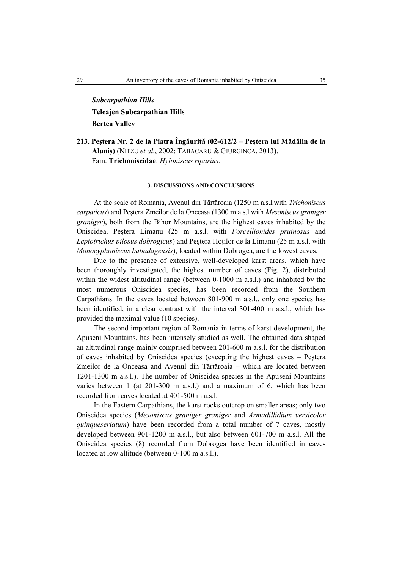# *Subcarpathian Hills* **Teleajen Subcarpathian Hills Bertea Valley**

**213. Peştera Nr. 2 de la Piatra Îngăurită (02-612/2 – Peştera lui Mădălin de la Aluniş)** (NITZU *et al.*, 2002; TABACARU & GIURGINCA, 2013). Fam. **Trichoniscidae**: *Hyloniscus riparius.*

#### **3. DISCUSSIONS AND CONCLUSIONS**

At the scale of Romania, Avenul din Tărtăroaia (1250 m a.s.l.with *Trichoniscus carpaticus*) and Peştera Zmeilor de la Onceasa (1300 m a.s.l.with *Mesoniscus graniger graniger*), both from the Bihor Mountains, are the highest caves inhabited by the Oniscidea. Peştera Limanu (25 m a.s.l. with *Porcellionides pruinosus* and *Leptotrichus pilosus dobrogicus*) and Pestera Hotilor de la Limanu (25 m a.s.l. with *Monocyphoniscus babadagensis*), located within Dobrogea, are the lowest caves.

Due to the presence of extensive, well-developed karst areas, which have been thoroughly investigated, the highest number of caves (Fig. 2), distributed within the widest altitudinal range (between 0-1000 m a.s.l.) and inhabited by the most numerous Oniscidea species, has been recorded from the Southern Carpathians. In the caves located between 801-900 m a.s.l., only one species has been identified, in a clear contrast with the interval 301-400 m a.s.l., which has provided the maximal value (10 species).

The second important region of Romania in terms of karst development, the Apuseni Mountains, has been intensely studied as well. The obtained data shaped an altitudinal range mainly comprised between 201-600 m a.s.l. for the distribution of caves inhabited by Oniscidea species (excepting the highest caves – Peştera Zmeilor de la Onceasa and Avenul din Tărtăroaia – which are located between 1201-1300 m a.s.l.). The number of Oniscidea species in the Apuseni Mountains varies between 1 (at 201-300 m a.s.l.) and a maximum of 6, which has been recorded from caves located at 401-500 m a.s.l.

In the Eastern Carpathians, the karst rocks outcrop on smaller areas; only two Oniscidea species (*Mesoniscus graniger graniger* and *Armadillidium versicolor quinqueseriatum*) have been recorded from a total number of 7 caves, mostly developed between 901-1200 m a.s.l., but also between 601-700 m a.s.l. All the Oniscidea species (8) recorded from Dobrogea have been identified in caves located at low altitude (between 0-100 m a.s.l.).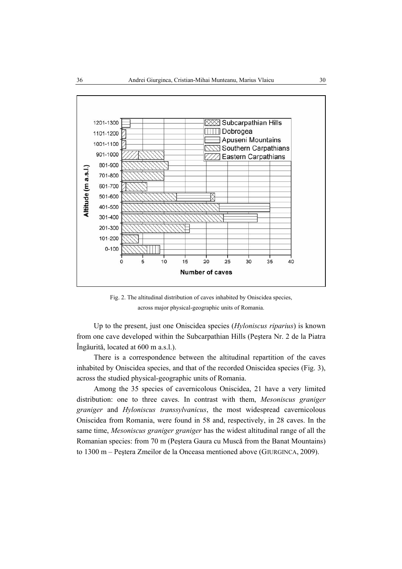

Fig. 2. The altitudinal distribution of caves inhabited by Oniscidea species, across major physical-geographic units of Romania.

Up to the present, just one Oniscidea species (*Hyloniscus riparius*) is known from one cave developed within the Subcarpathian Hills (Peştera Nr. 2 de la Piatra Îngăurită, located at 600 m a.s.l.).

There is a correspondence between the altitudinal repartition of the caves inhabited by Oniscidea species, and that of the recorded Oniscidea species (Fig. 3), across the studied physical-geographic units of Romania.

Among the 35 species of cavernicolous Oniscidea, 21 have a very limited distribution: one to three caves. In contrast with them, *Mesoniscus graniger graniger* and *Hyloniscus transsylvanicus*, the most widespread cavernicolous Oniscidea from Romania, were found in 58 and, respectively, in 28 caves. In the same time, *Mesoniscus graniger graniger* has the widest altitudinal range of all the Romanian species: from 70 m (Peştera Gaura cu Muscă from the Banat Mountains) to 1300 m – Peştera Zmeilor de la Onceasa mentioned above (GIURGINCA, 2009).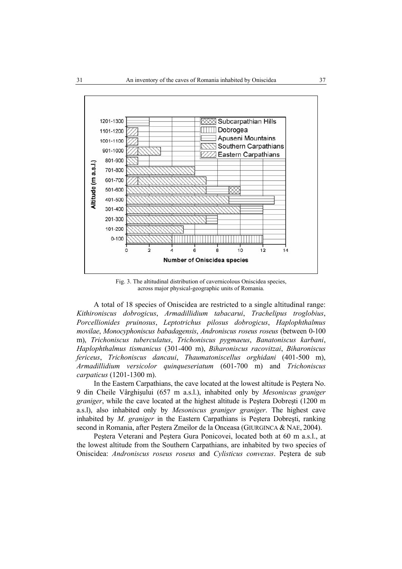

Fig. 3. The altitudinal distribution of cavernicolous Oniscidea species, across major physical-geographic units of Romania.

A total of 18 species of Oniscidea are restricted to a single altitudinal range: *Kithironiscus dobrogicus*, *Armadillidium tabacarui*, *Trachelipus troglobius*, *Porcellionides pruinosus*, *Leptotrichus pilosus dobrogicus*, *Haplophthalmus movilae*, *Monocyphoniscus babadagensis*, *Androniscus roseus roseus* (between 0-100 m), *Trichoniscus tuberculatus*, *Trichoniscus pygmaeus*, *Banatoniscus karbani*, *Haplophthalmus tismanicus* (301-400 m), *Biharoniscus racovitzai*, *Biharoniscus fericeus*, *Trichoniscus dancaui*, *Thaumatoniscellus orghidani* (401-500 m), *Armadillidium versicolor quinqueseriatum* (601-700 m) and *Trichoniscus carpaticus* (1201-1300 m).

In the Eastern Carpathians, the cave located at the lowest altitude is Peştera No. 9 din Cheile Vârghişului (657 m a.s.l.), inhabited only by *Mesoniscus graniger graniger*, while the cave located at the highest altitude is Peştera Dobreşti (1200 m a.s.l), also inhabited only by *Mesoniscus graniger graniger*. The highest cave inhabited by *M*. *graniger* in the Eastern Carpathians is Peştera Dobreşti, ranking second in Romania, after Peștera Zmeilor de la Onceasa (GIURGINCA & NAE, 2004).

Peştera Veterani and Peştera Gura Ponicovei, located both at 60 m a.s.l., at the lowest altitude from the Southern Carpathians, are inhabited by two species of Oniscidea: *Androniscus roseus roseus* and *Cylisticus convexus*. Peştera de sub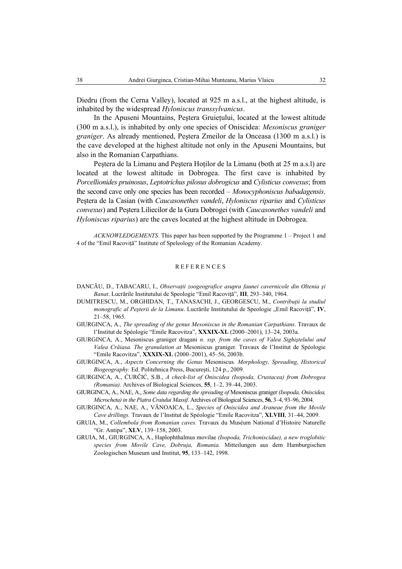Diedru (from the Cerna Valley), located at 925 m a.s.l., at the highest altitude, is inhabited by the widespread *Hyloniscus transsylvanicus*.

In the Apuseni Mountains, Peştera Gruieţului, located at the lowest altitude (300 m a.s.l.), is inhabited by only one species of Oniscidea: *Mesoniscus graniger graniger*. As already mentioned, Peştera Zmeilor de la Onceasa (1300 m a.s.l.) is the cave developed at the highest altitude not only in the Apuseni Mountains, but also in the Romanian Carpathians.

Peştera de la Limanu and Peştera Hoţilor de la Limanu (both at 25 m a.s.l) are located at the lowest altitude in Dobrogea. The first cave is inhabited by *Porcellionides pruinosus*, *Leptotrichus pilosus dobrogicus* and *Cylisticus convexus*; from the second cave only one species has been recorded – *Monocyphoniscus babadagensis*. Peştera de la Casian (with *Caucasonethes vandeli*, *Hyloniscus riparius* and *Cylisticus convexus*) and Peştera Liliecilor de la Gura Dobrogei (with *Caucasonethes vandeli* and *Hyloniscus riparius*) are the caves located at the highest altitude in Dobrogea.

*ACKNOWLEDGEMENTS*. This paper has been supported by the Programme 1 – Project 1 and 4 of the "Emil Racoviţă" Institute of Speleology of the Romanian Academy.

#### REFERENCES

- DANCĂU, D., TABACARU, I., *Observaţii zoogeografice asupra faunei cavernicole din Oltenia şi Banat*. Lucrările Institutului de Speologie "Emil Racoviță", **III**, 293–340, 1964.
- DUMITRESCU, M., ORGHIDAN, T., TANASACHI, J., GEORGESCU, M., *Contribuţii la studiul monografic al Peșterii de la Limanu*. Lucrările Institutului de Speologie "Emil Racoviță", **IV**, 21–58, 1965.
- GIURGINCA, A., *The spreading of the genus Mesoniscus in the Romanian Carpathians*. Travaux de l'Institut de Spéologie "Emile Racovitza", **XXXIX-XL** (2000–2001), 13–24, 2003a.
- GIURGINCA, A., Mesoniscus graniger dragani *n. ssp. from the caves of Valea Sighiştelului and Valea Crăiasa. The granulation at* Mesoniscus graniger*.* Travaux de l'Institut de Spéologie "Emile Racovitza", **XXXIX-XL** (2000–2001), 45–56, 2003b.
- GIURGINCA, A., *Aspects Concerning the Genus* Mesoniscus*. Morphology, Spreading, Historical Biogeography.* Ed. Politehnica Press, București, 124 p., 2009.
- GIURGINCA, A., ĆURČIĆ, S.B., *A check-list of Oniscidea (Isopoda, Crustacea) from Dobrogea (Romania)*. Archives of Biological Sciences, **55**, 1–2, 39–44, 2003.
- GIURGINCA, A., NAE, A., *Some data regarding the spreading of* Mesoniscus graniger *(Isopoda, Oniscidea, Microcheta) in the Piatra Craiului Massif*. Archives of Biological Sciences, **56**, 3–4, 93–96, 2004.
- GIURGINCA, A., NAE, A., VĂNOAICA, L., *Species of Oniscidea and Araneae from the Movile Cave drillings.* Travaux de l'Institut de Spéologie "Emile Racovitza", **XLVIII**, 31–44, 2009.
- GRUIA, M., *Collembola from Romanian caves.* Travaux du Muséum National d'Histoire Naturelle "Gr. Antipa", **XLV**, 139–158, 2003.
- GRUIA, M., GIURGINCA, A., Haplophthalmus movilae *(Isopoda, Trichoniscidae), a new troglobitic species from Movile Cave, Dobruja, Romania.* Mitteilungen aus dem Hamburgischen Zoologischen Museum und Institut, **95**, 133–142, 1998.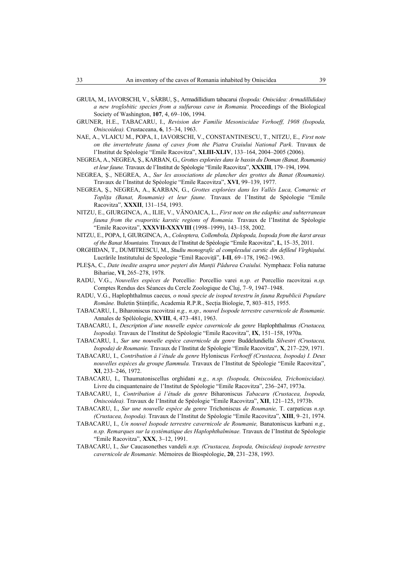- GRUIA, M., IAVORSCHI, V., SÂRBU, Ş., Armadillidium tabacarui *(Isopoda: Oniscidea: Armadillididae) a new troglobitic species from a sulfurous cave in Romania.* Proceedings of the Biological Society of Washington, **107**, 4, 69–106, 1994.
- GRUNER, H.E., TABACARU, I., *Revision der Familie Mesoniscidae Verhoeff, 1908 (Isopoda, Oniscoidea).* Crustaceana, **6**, 15–34, 1963.
- NAE, A., VLAICU M., POPA, I., IAVORSCHI, V., CONSTANTINESCU, T., NITZU, E., *First note on the invertebrate fauna of caves from the Piatra Craiului National Park*. Travaux de l'Institut de Spéologie "Emile Racovitza", **XLIII-XLIV**, 133–164, 2004–2005 (2006).
- NEGREA, A., NEGREA, Ş., KARBAN, G., *Grottes explorées dans le bassin du Doman (Banat, Roumanie) et leur faune.* Travaux de l'Institut de Spéologie "Emile Racovitza", **XXXIII**, 179–194, 1994.
- NEGREA, Ş., NEGREA, A., *Sur les associations de plancher des grottes du Banat (Roumanie).* Travaux de l'Institut de Spéologie "Emile Racovitza", **XVI**, 99–139, 1977.
- NEGREA, Ş., NEGREA, A., KARBAN, G., *Grottes explorées dans les Vallés Luca, Comarnic et Topliţa (Banat, Roumanie) et leur faune.* Travaux de l'Institut de Spéologie "Emile Racovitza", **XXXII**, 131–154, 1993.
- NITZU, E., GIURGINCA, A., ILIE, V., VĂNOAICA, L., *First note on the edaphic and subterranean fauna from the evaporitic karstic regions of Romania.* Travaux de l'Institut de Spéologie "Emile Racovitza", **XXXVII-XXXVIII** (1998–1999), 143–158, 2002.
- NITZU, E., POPA, I, GIURGINCA, A., *Coleoptera, Collembola, Diplopoda, Isopoda from the karst areas of the Banat Mountains.* Travaux de l'Institut de Spéologie "Emile Racovitza", **L**, 15–35, 2011.
- ORGHIDAN, T., DUMITRESCU, M., *Studiu monografic al complexului carstic din defileul Vîrghişului.* Lucrările Institutului de Speologie "Emil Racoviță", **I-II**, 69–178, 1962–1963.
- PLEŞA, C., *Date inedite asupra unor peşteri din Munţii Pădurea Craiului.* Nymphaea: Folia naturae Bihariae, **VI**, 265–278, 1978.
- RADU, V.G., *Nouvelles espèces de* Porcellio*:* Porcellio varei *n.sp. et* Porcellio racovitzai *n.sp.* Comptes Rendus des Séances du Cercle Zoologique de Cluj, 7–9, 1947–1948.
- RADU, V.G., Haplophthalmus caecus*, o nouă specie de isopod terestru în fauna Republicii Populare Române.* Buletin Științific, Academia R.P.R., Secţia Biologie, **7**, 803–815, 1955.
- TABACARU, I., Biharoniscus racovitzai *n.g., n.sp., nouvel Isopode terrestre cavernicole de Roumanie.* Annales de Spéléologie, **XVIII**, 4, 473–481, 1963.
- TABACARU, I., *Description d'une nouvelle espèce cavernicole du genre* Haplophthalmus *(Crustacea, Isopoda).* Travaux de l'Institut de Spéologie "Emile Racovitza", **IX**, 151–158, 1970a.
- TABACARU, I., *Sur une nouvelle espèce cavernicole du genre* Buddelundiella *Silvestri (Crustacea, Isopoda) de Roumanie.* Travaux de l'Institut de Spéologie "Emile Racovitza", **X**, 217–229, 1971.
- TABACARU, I., *Contribution á l'étude du genre* Hyloniscus *Verhoeff (Crustacea, Isopoda) I. Deux nouvelles espèces du groupe flammula.* Travaux de l'Institut de Spéologie "Emile Racovitza", **XI**, 233–246, 1972.
- TABACARU, I., Thaumatoniscellus orghidani *n.g., n.sp. (Isopoda, Oniscoidea, Trichoniscidae).* Livre du cinquantenaire de l'Institut de Spéologie "Emile Racovitza", 236–247, 1973a.
- TABACARU, I., *Contribution á l'étude du genre* Biharoniscus *Tabacaru (Crustacea, Isopoda, Oniscoidea).* Travaux de l'Institut de Spéologie "Emile Racovitza", **XII**, 121–125, 1973b.
- TABACARU, I., *Sur une nouvelle espèce du genre* Trichoniscus *de Roumanie,* T. carpaticus *n.sp. (Crustacea, Isopoda).* Travaux de l'Institut de Spéologie "Emile Racovitza", **XIII**, 9–21, 1974.
- TABACARU, I., *Un nouvel Isopode terrestre cavernicole de Roumanie,* Banatoniscus karbani *n.g., n.sp. Remarques sur la systématique des Haplophthalminae.* Travaux de l'Institut de Spéologie "Emile Racovitza", **XXX**, 3–12, 1991.
- TABACARU, I., *Sur* Caucasonethes vandeli *n.sp. (Crustacea, Isopoda, Oniscidea) isopode terrestre cavernicole de Roumanie.* Mémoires de Biospéologie, **20**, 231–238, 1993.